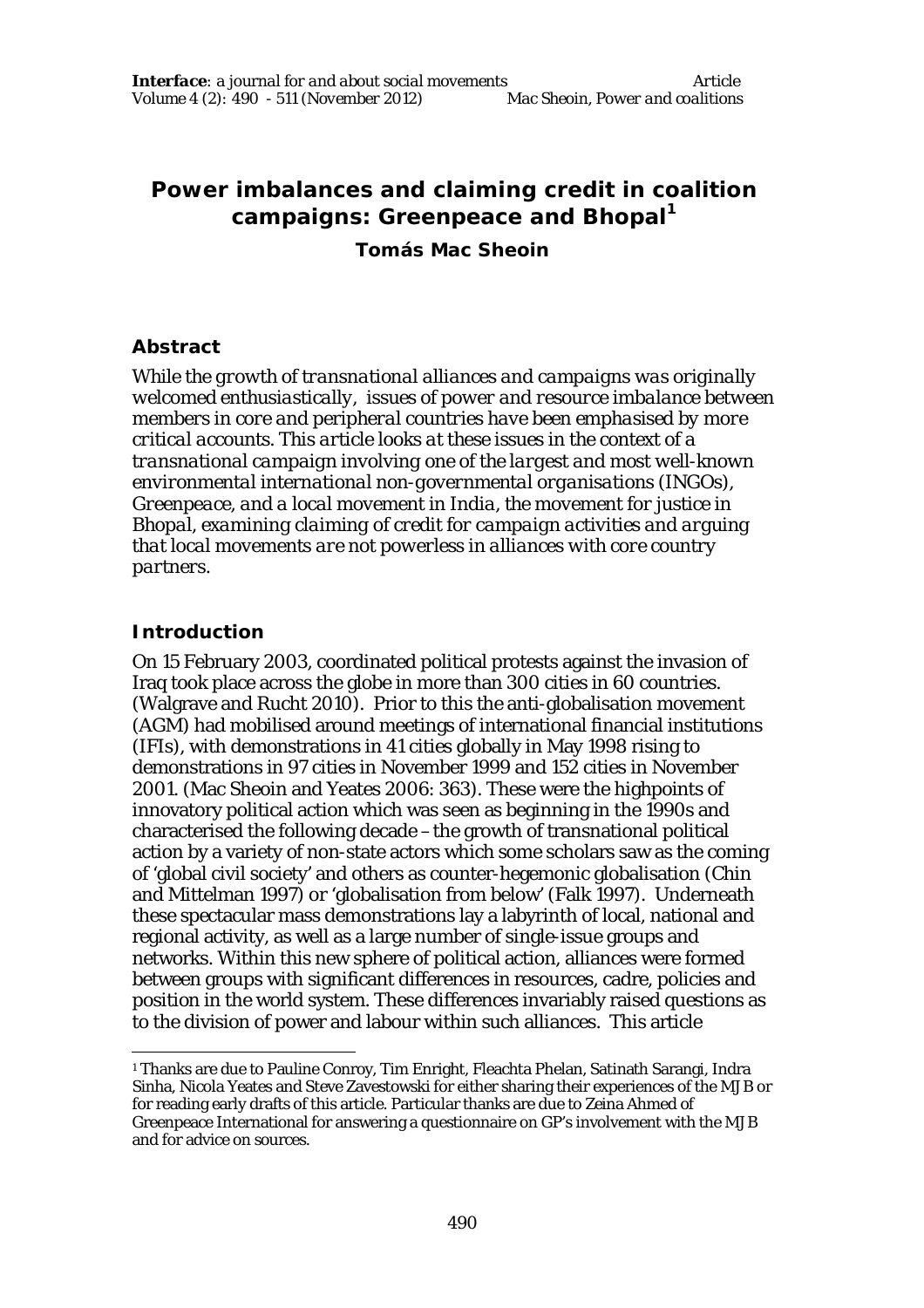# **Power imbalances and claiming credit in coalition campaigns: Greenpeace and Bhopal<sup>1</sup>**

**Tomás Mac Sheoin**

#### **Abstract**

*While the growth of transnational alliances and campaigns was originally welcomed enthusiastically, issues of power and resource imbalance between members in core and peripheral countries have been emphasised by more critical accounts. This article looks at these issues in the context of a transnational campaign involving one of the largest and most well-known environmental international non-governmental organisations (INGOs), Greenpeace, and a local movement in India, the movement for justice in Bhopal, examining claiming of credit for campaign activities and arguing that local movements are not powerless in alliances with core country partners.*

## **Introduction**

On 15 February 2003, coordinated political protests against the invasion of Iraq took place across the globe in more than 300 cities in 60 countries. (Walgrave and Rucht 2010). Prior to this the anti-globalisation movement (AGM) had mobilised around meetings of international financial institutions (IFIs), with demonstrations in 41 cities globally in May 1998 rising to demonstrations in 97 cities in November 1999 and 152 cities in November 2001. (Mac Sheoin and Yeates 2006: 363). These were the highpoints of innovatory political action which was seen as beginning in the 1990s and characterised the following decade –the growth of transnational political action by a variety of non-state actors which some scholars saw as the coming of 'global civil society' and others as counter-hegemonic globalisation (Chin and Mittelman 1997) or 'globalisation from below' (Falk 1997). Underneath these spectacular mass demonstrations lay a labyrinth of local, national and regional activity, as well as a large number of single-issue groups and networks. Within this new sphere of political action, alliances were formed between groups with significant differences in resources, cadre, policies and position in the world system. These differences invariably raised questions as to the division of power and labour within such alliances. This article

 $\overline{a}$ <sup>1</sup> Thanks are due to Pauline Conroy, Tim Enright, Fleachta Phelan, Satinath Sarangi, Indra Sinha, Nicola Yeates and Steve Zavestowski for either sharing their experiences of the MJB or for reading early drafts of this article. Particular thanks are due to Zeina Ahmed of Greenpeace International for answering a questionnaire on GP's involvement with the MJB and for advice on sources.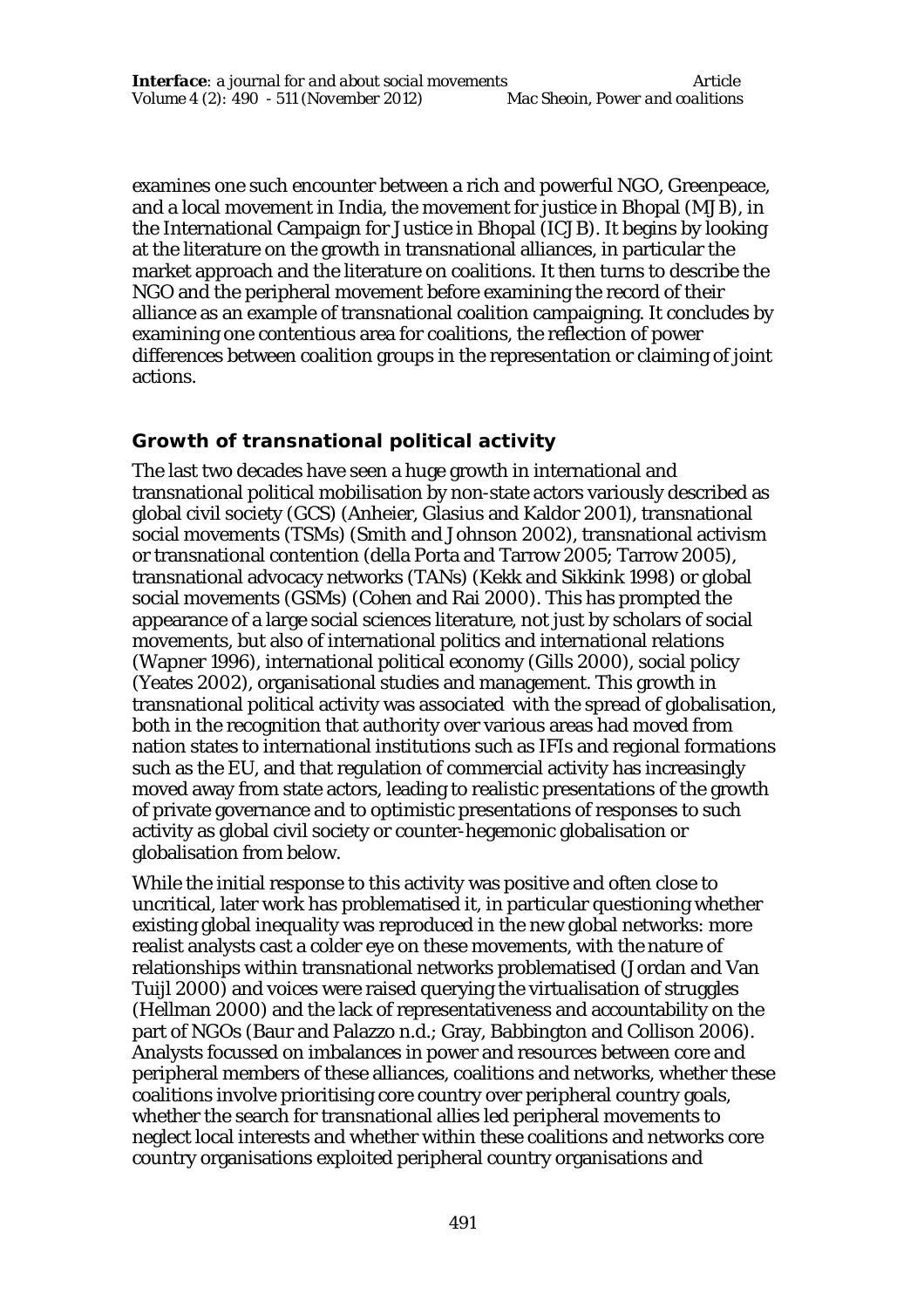examines one such encounter between a rich and powerful NGO, Greenpeace, and a local movement in India, the movement for justice in Bhopal (MJB), in the International Campaign for Justice in Bhopal (ICJB). It begins by looking at the literature on the growth in transnational alliances, in particular the market approach and the literature on coalitions. It then turns to describe the NGO and the peripheral movement before examining the record of their alliance as an example of transnational coalition campaigning. It concludes by examining one contentious area for coalitions, the reflection of power differences between coalition groups in the representation or claiming of joint actions.

### **Growth of transnational political activity**

The last two decades have seen a huge growth in international and transnational political mobilisation by non-state actors variously described as global civil society (GCS) (Anheier, Glasius and Kaldor 2001), transnational social movements (TSMs) (Smith and Johnson 2002), transnational activism or transnational contention (della Porta and Tarrow 2005; Tarrow 2005), transnational advocacy networks (TANs) (Kekk and Sikkink 1998) or global social movements (GSMs) (Cohen and Rai 2000). This has prompted the appearance of a large social sciences literature, not just by scholars of social movements, but also of international politics and international relations (Wapner 1996), international political economy (Gills 2000), social policy (Yeates 2002), organisational studies and management. This growth in transnational political activity was associated with the spread of globalisation, both in the recognition that authority over various areas had moved from nation states to international institutions such as IFIs and regional formations such as the EU, and that regulation of commercial activity has increasingly moved away from state actors, leading to realistic presentations of the growth of private governance and to optimistic presentations of responses to such activity as global civil society or counter-hegemonic globalisation or globalisation from below.

While the initial response to this activity was positive and often close to uncritical, later work has problematised it, in particular questioning whether existing global inequality was reproduced in the new global networks: more realist analysts cast a colder eye on these movements, with the nature of relationships within transnational networks problematised (Jordan and Van Tuijl 2000) and voices were raised querying the virtualisation of struggles (Hellman 2000) and the lack of representativeness and accountability on the part of NGOs (Baur and Palazzo n.d.; Gray, Babbington and Collison 2006). Analysts focussed on imbalances in power and resources between core and peripheral members of these alliances, coalitions and networks, whether these coalitions involve prioritising core country over peripheral country goals, whether the search for transnational allies led peripheral movements to neglect local interests and whether within these coalitions and networks core country organisations exploited peripheral country organisations and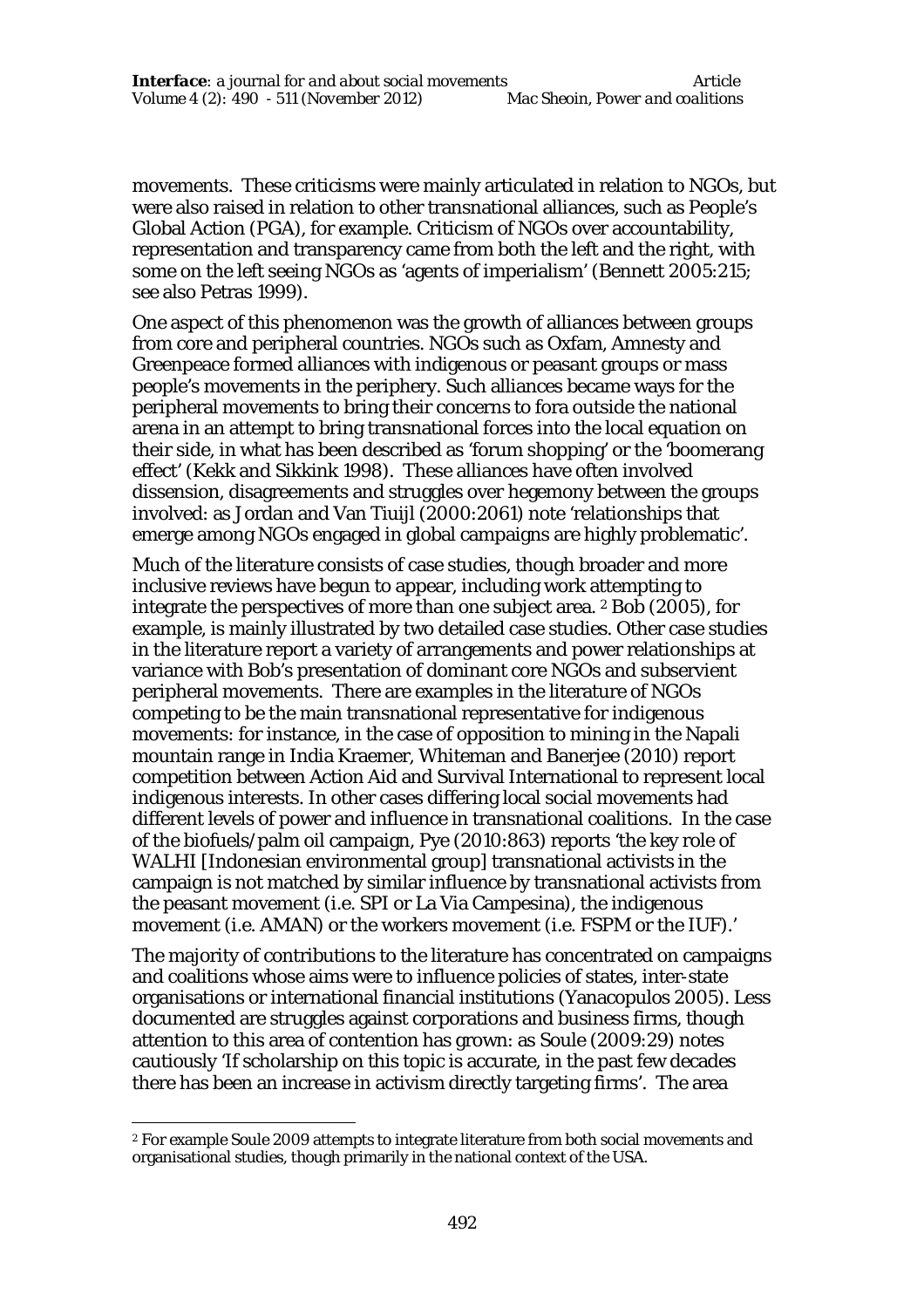movements. These criticisms were mainly articulated in relation to NGOs, but were also raised in relation to other transnational alliances, such as People's Global Action (PGA), for example. Criticism of NGOs over accountability, representation and transparency came from both the left and the right, with some on the left seeing NGOs as 'agents of imperialism' (Bennett 2005:215; see also Petras 1999).

One aspect of this phenomenon was the growth of alliances between groups from core and peripheral countries. NGOs such as Oxfam, Amnesty and Greenpeace formed alliances with indigenous or peasant groups or mass people's movements in the periphery. Such alliances became ways for the peripheral movements to bring their concerns to fora outside the national arena in an attempt to bring transnational forces into the local equation on their side, in what has been described as 'forum shopping' or the 'boomerang effect' (Kekk and Sikkink 1998). These alliances have often involved dissension, disagreements and struggles over hegemony between the groups involved: as Jordan and Van Tiuijl (2000:2061) note 'relationships that emerge among NGOs engaged in global campaigns are highly problematic'.

Much of the literature consists of case studies, though broader and more inclusive reviews have begun to appear, including work attempting to integrate the perspectives of more than one subject area. <sup>2</sup> Bob (2005), for example, is mainly illustrated by two detailed case studies. Other case studies in the literature report a variety of arrangements and power relationships at variance with Bob's presentation of dominant core NGOs and subservient peripheral movements. There are examples in the literature of NGOs competing to be the main transnational representative for indigenous movements: for instance, in the case of opposition to mining in the Napali mountain range in India Kraemer, Whiteman and Banerjee (2010) report competition between Action Aid and Survival International to represent local indigenous interests. In other cases differing local social movements had different levels of power and influence in transnational coalitions. In the case of the biofuels/palm oil campaign, Pye (2010:863) reports 'the key role of WALHI [Indonesian environmental group] transnational activists in the campaign is not matched by similar influence by transnational activists from the peasant movement (i.e. SPI or La Via Campesina), the indigenous movement (i.e. AMAN) or the workers movement (i.e. FSPM or the IUF).'

The majority of contributions to the literature has concentrated on campaigns and coalitions whose aims were to influence policies of states, inter-state organisations or international financial institutions (Yanacopulos 2005). Less documented are struggles against corporations and business firms, though attention to this area of contention has grown: as Soule (2009:29) notes cautiously 'If scholarship on this topic is accurate, in the past few decades there has been an increase in activism directly targeting firms'. The area

 $\overline{a}$ <sup>2</sup> For example Soule 2009 attempts to integrate literature from both social movements and organisational studies, though primarily in the national context of the USA.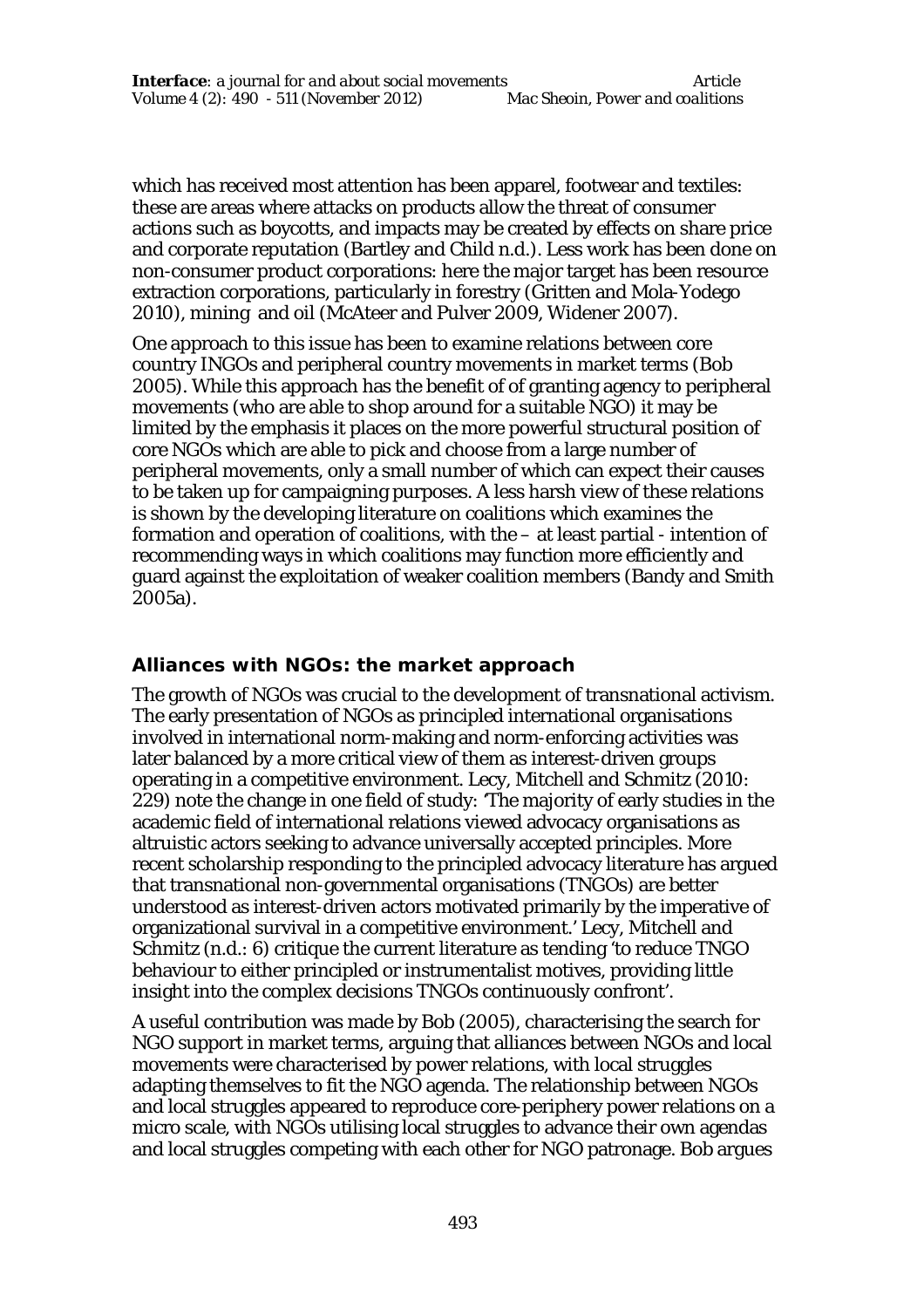which has received most attention has been apparel, footwear and textiles: these are areas where attacks on products allow the threat of consumer actions such as boycotts, and impacts may be created by effects on share price and corporate reputation (Bartley and Child n.d.). Less work has been done on non-consumer product corporations: here the major target has been resource extraction corporations, particularly in forestry (Gritten and Mola-Yodego 2010), mining and oil (McAteer and Pulver 2009, Widener 2007).

One approach to this issue has been to examine relations between core country INGOs and peripheral country movements in market terms (Bob 2005). While this approach has the benefit of of granting agency to peripheral movements (who are able to shop around for a suitable NGO) it may be limited by the emphasis it places on the more powerful structural position of core NGOs which are able to pick and choose from a large number of peripheral movements, only a small number of which can expect their causes to be taken up for campaigning purposes. A less harsh view of these relations is shown by the developing literature on coalitions which examines the formation and operation of coalitions, with the – at least partial - intention of recommending ways in which coalitions may function more efficiently and guard against the exploitation of weaker coalition members (Bandy and Smith 2005a).

## **Alliances with NGOs: the market approach**

The growth of NGOs was crucial to the development of transnational activism. The early presentation of NGOs as principled international organisations involved in international norm-making and norm-enforcing activities was later balanced by a more critical view of them as interest-driven groups operating in a competitive environment. Lecy, Mitchell and Schmitz (2010: 229) note the change in one field of study: 'The majority of early studies in the academic field of international relations viewed advocacy organisations as altruistic actors seeking to advance universally accepted principles. More recent scholarship responding to the principled advocacy literature has argued that transnational non-governmental organisations (TNGOs) are better understood as interest-driven actors motivated primarily by the imperative of organizational survival in a competitive environment.' Lecy, Mitchell and Schmitz (n.d.: 6) critique the current literature as tending 'to reduce TNGO behaviour to either principled or instrumentalist motives, providing little insight into the complex decisions TNGOs continuously confront'.

A useful contribution was made by Bob (2005), characterising the search for NGO support in market terms, arguing that alliances between NGOs and local movements were characterised by power relations, with local struggles adapting themselves to fit the NGO agenda. The relationship between NGOs and local struggles appeared to reproduce core-periphery power relations on a micro scale, with NGOs utilising local struggles to advance their own agendas and local struggles competing with each other for NGO patronage. Bob argues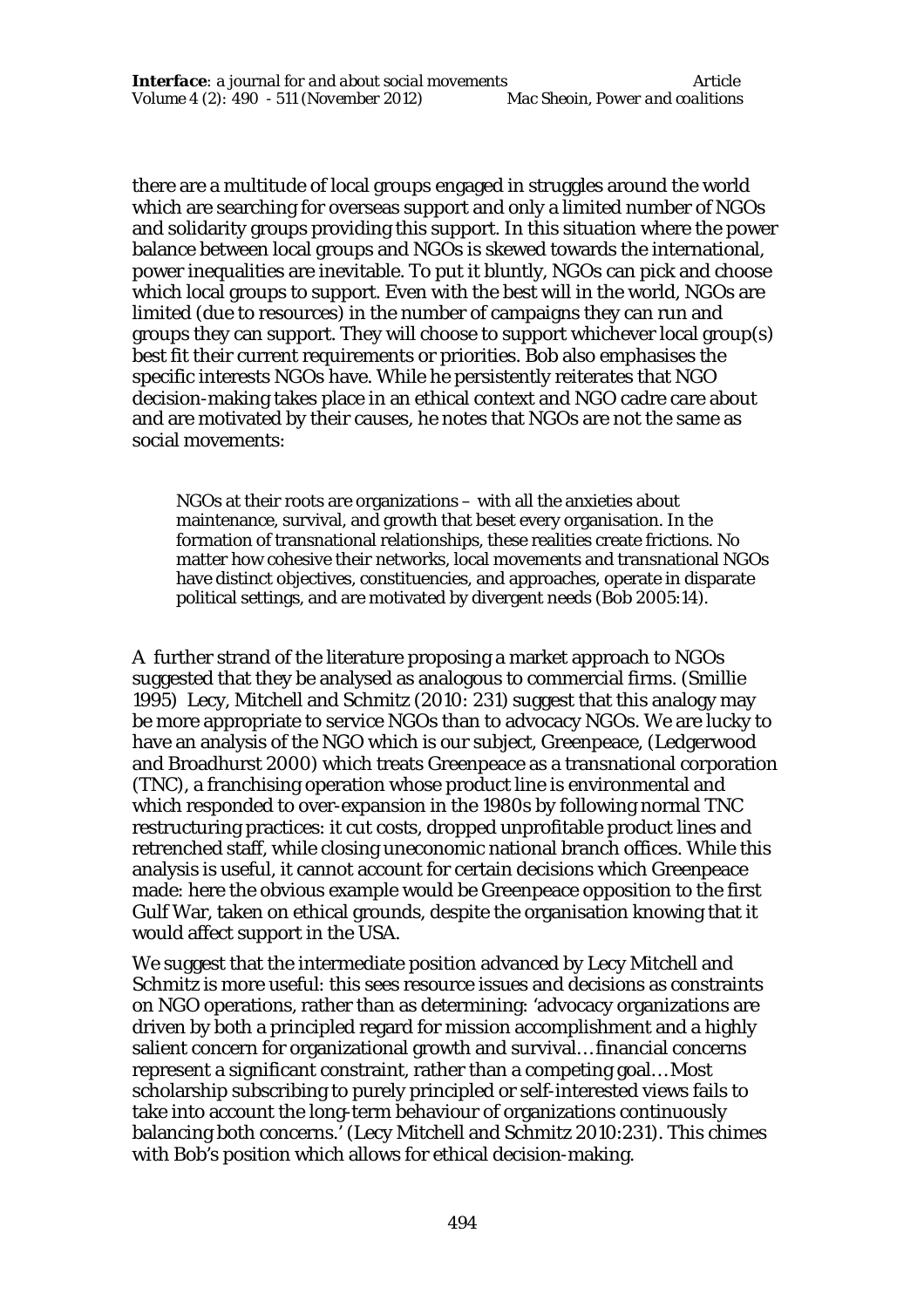there are a multitude of local groups engaged in struggles around the world which are searching for overseas support and only a limited number of NGOs and solidarity groups providing this support. In this situation where the power balance between local groups and NGOs is skewed towards the international, power inequalities are inevitable. To put it bluntly, NGOs can pick and choose which local groups to support. Even with the best will in the world, NGOs are limited (due to resources) in the number of campaigns they can run and groups they can support. They will choose to support whichever local group(s) best fit their current requirements or priorities. Bob also emphasises the specific interests NGOs have. While he persistently reiterates that NGO decision-making takes place in an ethical context and NGO cadre care about and are motivated by their causes, he notes that NGOs are not the same as social movements:

NGOs at their roots are organizations – with all the anxieties about maintenance, survival, and growth that beset every organisation. In the formation of transnational relationships, these realities create frictions. No matter how cohesive their networks, local movements and transnational NGOs have distinct objectives, constituencies, and approaches, operate in disparate political settings, and are motivated by divergent needs (Bob 2005:14).

A further strand of the literature proposing a market approach to NGOs suggested that they be analysed as analogous to commercial firms. (Smillie 1995) Lecy, Mitchell and Schmitz (2010: 231) suggest that this analogy may be more appropriate to service NGOs than to advocacy NGOs. We are lucky to have an analysis of the NGO which is our subject, Greenpeace, (Ledgerwood and Broadhurst 2000) which treats Greenpeace as a transnational corporation (TNC), a franchising operation whose product line is environmental and which responded to over-expansion in the 1980s by following normal TNC restructuring practices: it cut costs, dropped unprofitable product lines and retrenched staff, while closing uneconomic national branch offices. While this analysis is useful, it cannot account for certain decisions which Greenpeace made: here the obvious example would be Greenpeace opposition to the first Gulf War, taken on ethical grounds, despite the organisation knowing that it would affect support in the USA.

We suggest that the intermediate position advanced by Lecy Mitchell and Schmitz is more useful: this sees resource issues and decisions as constraints on NGO operations, rather than as determining: 'advocacy organizations are driven by both a principled regard for mission accomplishment and a highly salient concern for organizational growth and survival… financial concerns represent a significant constraint, rather than a competing goal… Most scholarship subscribing to purely principled or self-interested views fails to take into account the long-term behaviour of organizations continuously balancing both concerns.' (Lecy Mitchell and Schmitz 2010:231). This chimes with Bob's position which allows for ethical decision-making.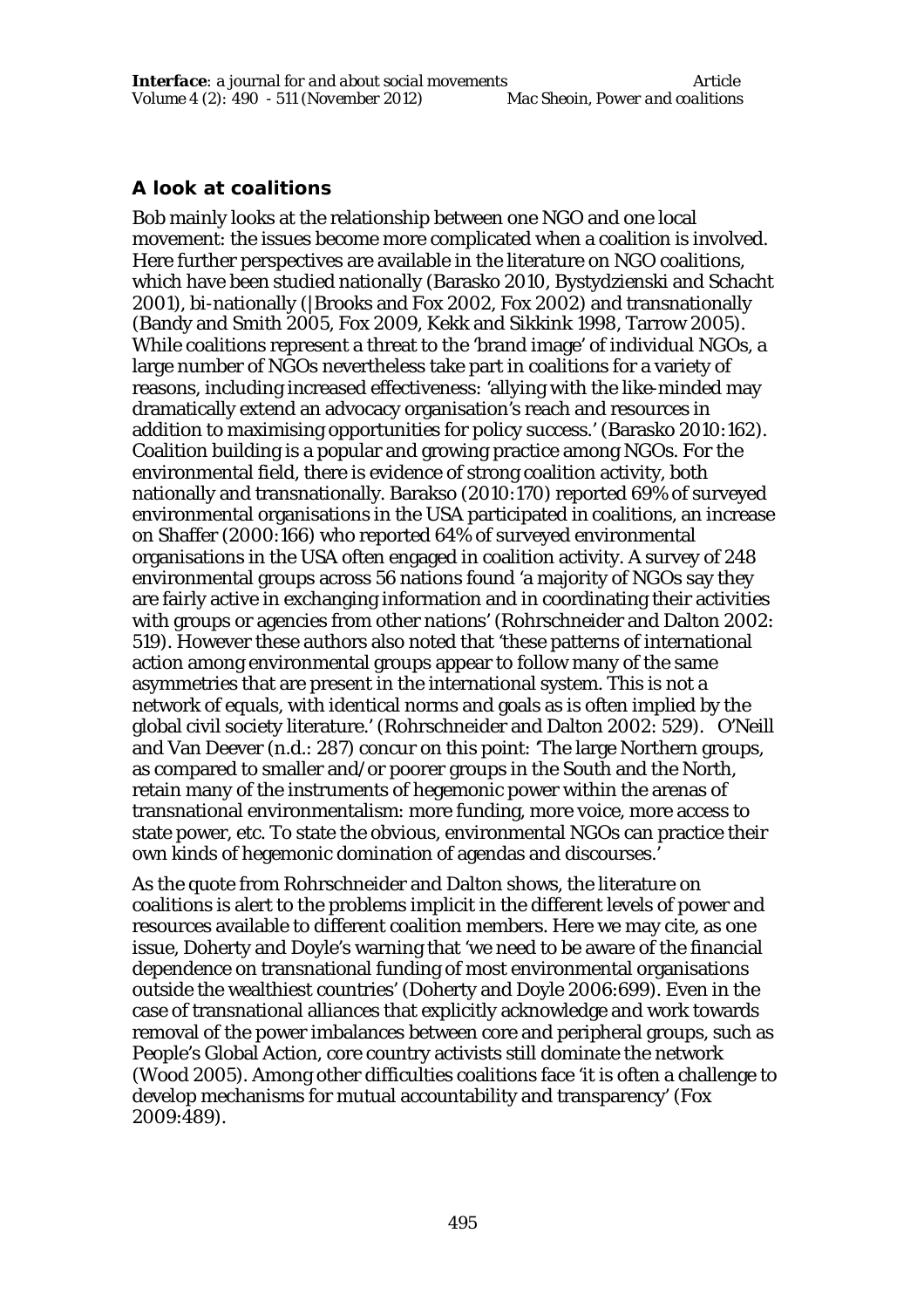## **A look at coalitions**

Bob mainly looks at the relationship between one NGO and one local movement: the issues become more complicated when a coalition is involved. Here further perspectives are available in the literature on NGO coalitions, which have been studied nationally (Barasko 2010, Bystydzienski and Schacht 2001), bi-nationally (|Brooks and Fox 2002, Fox 2002) and transnationally (Bandy and Smith 2005, Fox 2009, Kekk and Sikkink 1998, Tarrow 2005). While coalitions represent a threat to the 'brand image' of individual NGOs, a large number of NGOs nevertheless take part in coalitions for a variety of reasons, including increased effectiveness: 'allying with the like-minded may dramatically extend an advocacy organisation's reach and resources in addition to maximising opportunities for policy success.' (Barasko 2010:162). Coalition building is a popular and growing practice among NGOs. For the environmental field, there is evidence of strong coalition activity, both nationally and transnationally. Barakso (2010:170) reported 69% of surveyed environmental organisations in the USA participated in coalitions, an increase on Shaffer (2000:166) who reported 64% of surveyed environmental organisations in the USA often engaged in coalition activity. A survey of 248 environmental groups across 56 nations found 'a majority of NGOs say they are fairly active in exchanging information and in coordinating their activities with groups or agencies from other nations' (Rohrschneider and Dalton 2002: 519). However these authors also noted that 'these patterns of international action among environmental groups appear to follow many of the same asymmetries that are present in the international system. This is not a network of equals, with identical norms and goals as is often implied by the global civil society literature.' (Rohrschneider and Dalton 2002: 529). O'Neill and Van Deever (n.d.: 287) concur on this point: 'The large Northern groups, as compared to smaller and/or poorer groups in the South and the North, retain many of the instruments of hegemonic power within the arenas of transnational environmentalism: more funding, more voice, more access to state power, etc. To state the obvious, environmental NGOs can practice their own kinds of hegemonic domination of agendas and discourses.'

As the quote from Rohrschneider and Dalton shows, the literature on coalitions is alert to the problems implicit in the different levels of power and resources available to different coalition members. Here we may cite, as one issue, Doherty and Doyle's warning that 'we need to be aware of the financial dependence on transnational funding of most environmental organisations outside the wealthiest countries' (Doherty and Doyle 2006:699). Even in the case of transnational alliances that explicitly acknowledge and work towards removal of the power imbalances between core and peripheral groups, such as People's Global Action, core country activists still dominate the network (Wood 2005). Among other difficulties coalitions face 'it is often a challenge to develop mechanisms for mutual accountability and transparency' (Fox 2009:489).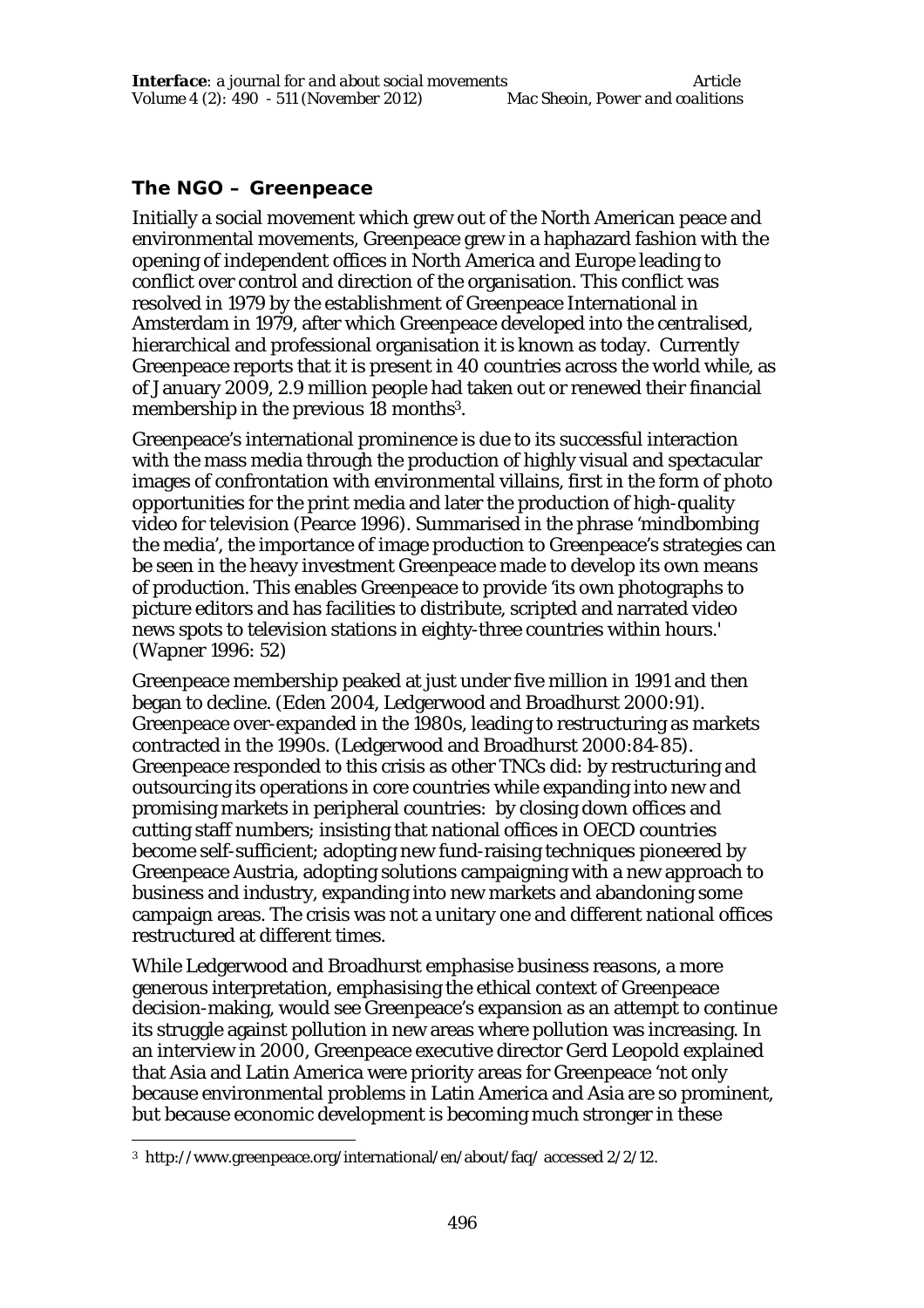## **The NGO – Greenpeace**

Initially a social movement which grew out of the North American peace and environmental movements, Greenpeace grew in a haphazard fashion with the opening of independent offices in North America and Europe leading to conflict over control and direction of the organisation. This conflict was resolved in 1979 by the establishment of Greenpeace International in Amsterdam in 1979, after which Greenpeace developed into the centralised, hierarchical and professional organisation it is known as today. Currently Greenpeace reports that it is present in 40 countries across the world while, as of January 2009, 2.9 million people had taken out or renewed their financial membership in the previous 18 months<sup>3</sup>.

Greenpeace's international prominence is due to its successful interaction with the mass media through the production of highly visual and spectacular images of confrontation with environmental villains, first in the form of photo opportunities for the print media and later the production of high-quality video for television (Pearce 1996). Summarised in the phrase 'mindbombing the media', the importance of image production to Greenpeace's strategies can be seen in the heavy investment Greenpeace made to develop its own means of production. This enables Greenpeace to provide 'its own photographs to picture editors and has facilities to distribute, scripted and narrated video news spots to television stations in eighty-three countries within hours.' (Wapner 1996: 52)

Greenpeace membership peaked at just under five million in 1991 and then began to decline. (Eden 2004, Ledgerwood and Broadhurst 2000:91). Greenpeace over-expanded in the 1980s, leading to restructuring as markets contracted in the 1990s. (Ledgerwood and Broadhurst 2000:84-85). Greenpeace responded to this crisis as other TNCs did: by restructuring and outsourcing its operations in core countries while expanding into new and promising markets in peripheral countries: by closing down offices and cutting staff numbers; insisting that national offices in OECD countries become self-sufficient; adopting new fund-raising techniques pioneered by Greenpeace Austria, adopting solutions campaigning with a new approach to business and industry, expanding into new markets and abandoning some campaign areas. The crisis was not a unitary one and different national offices restructured at different times.

While Ledgerwood and Broadhurst emphasise business reasons, a more generous interpretation, emphasising the ethical context of Greenpeace decision-making, would see Greenpeace's expansion as an attempt to continue its struggle against pollution in new areas where pollution was increasing. In an interview in 2000, Greenpeace executive director Gerd Leopold explained that Asia and Latin America were priority areas for Greenpeace 'not only because environmental problems in Latin America and Asia are so prominent, but because economic development is becoming much stronger in these

 $\overline{a}$ 3 http://www.greenpeace.org/international/en/about/faq/ accessed 2/2/12.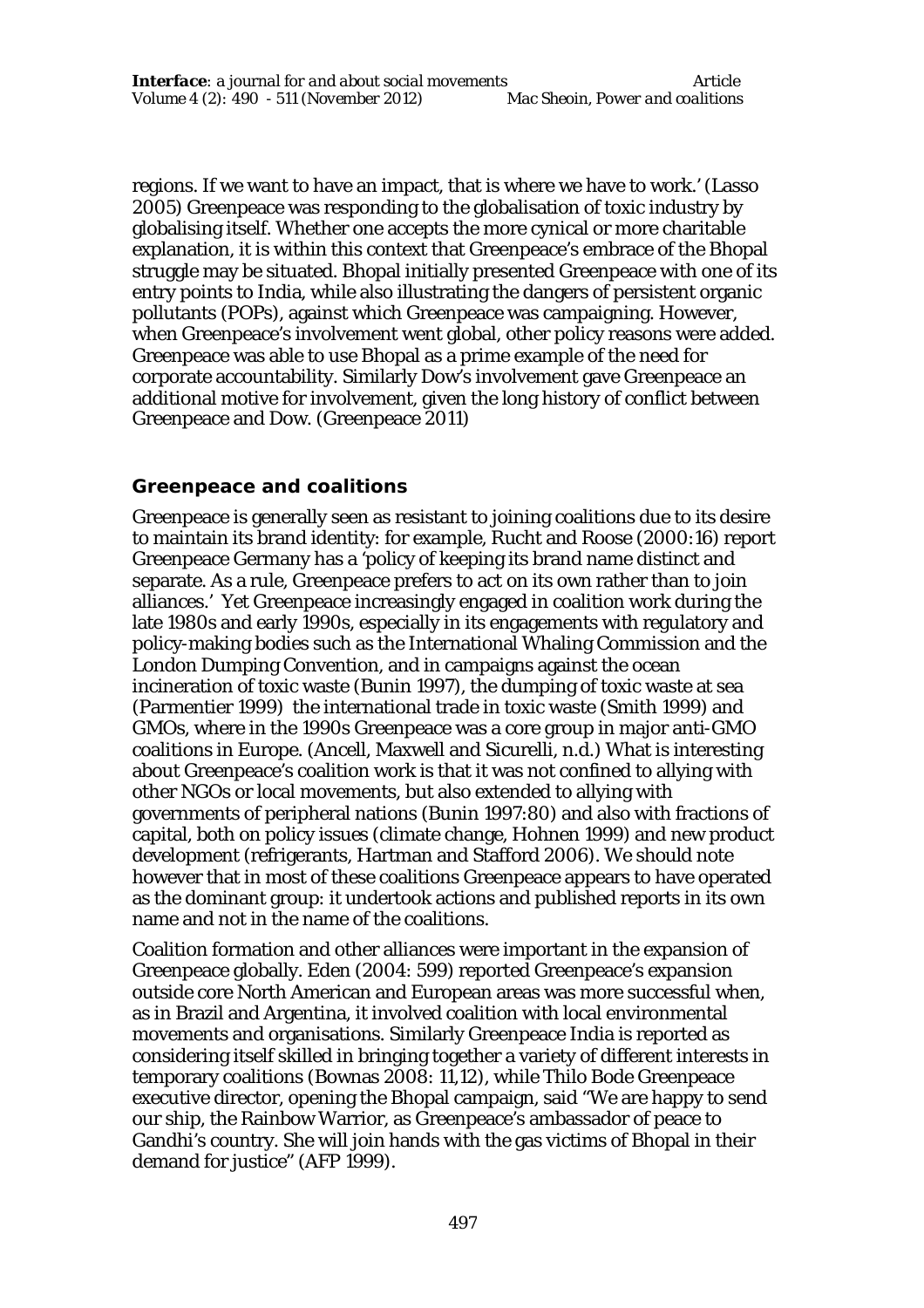regions. If we want to have an impact, that is where we have to work.' (Lasso 2005) Greenpeace was responding to the globalisation of toxic industry by globalising itself. Whether one accepts the more cynical or more charitable explanation, it is within this context that Greenpeace's embrace of the Bhopal struggle may be situated. Bhopal initially presented Greenpeace with one of its entry points to India, while also illustrating the dangers of persistent organic pollutants (POPs), against which Greenpeace was campaigning. However, when Greenpeace's involvement went global, other policy reasons were added. Greenpeace was able to use Bhopal as a prime example of the need for corporate accountability. Similarly Dow's involvement gave Greenpeace an additional motive for involvement, given the long history of conflict between Greenpeace and Dow. (Greenpeace 2011)

#### **Greenpeace and coalitions**

Greenpeace is generally seen as resistant to joining coalitions due to its desire to maintain its brand identity: for example, Rucht and Roose (2000:16) report Greenpeace Germany has a 'policy of keeping its brand name distinct and separate. As a rule, Greenpeace prefers to act on its own rather than to join alliances.' Yet Greenpeace increasingly engaged in coalition work during the late 1980s and early 1990s, especially in its engagements with regulatory and policy-making bodies such as the International Whaling Commission and the London Dumping Convention, and in campaigns against the ocean incineration of toxic waste (Bunin 1997), the dumping of toxic waste at sea (Parmentier 1999) the international trade in toxic waste (Smith 1999) and GMOs, where in the 1990s Greenpeace was a core group in major anti-GMO coalitions in Europe. (Ancell, Maxwell and Sicurelli, n.d.) What is interesting about Greenpeace's coalition work is that it was not confined to allying with other NGOs or local movements, but also extended to allying with governments of peripheral nations (Bunin 1997:80) and also with fractions of capital, both on policy issues (climate change, Hohnen 1999) and new product development (refrigerants, Hartman and Stafford 2006). We should note however that in most of these coalitions Greenpeace appears to have operated as the dominant group: it undertook actions and published reports in its own name and not in the name of the coalitions.

Coalition formation and other alliances were important in the expansion of Greenpeace globally. Eden (2004: 599) reported Greenpeace's expansion outside core North American and European areas was more successful when, as in Brazil and Argentina, it involved coalition with local environmental movements and organisations. Similarly Greenpeace India is reported as considering itself skilled in bringing together a variety of different interests in temporary coalitions (Bownas 2008: 11,12), while Thilo Bode Greenpeace executive director, opening the Bhopal campaign, said "We are happy to send our ship, the Rainbow Warrior, as Greenpeace's ambassador of peace to Gandhi's country. She will join hands with the gas victims of Bhopal in their demand for justice" (AFP 1999).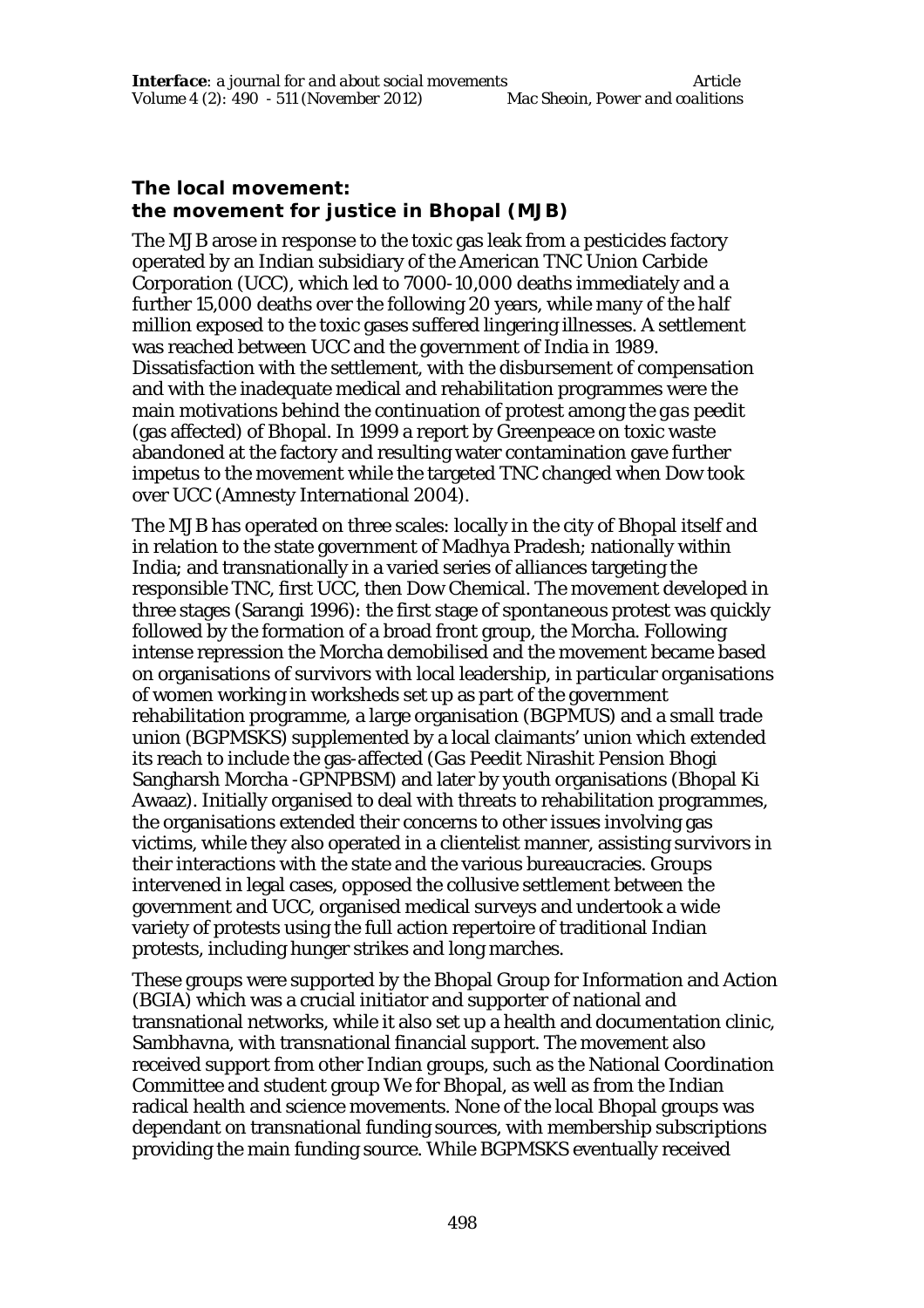### **The local movement: the movement for justice in Bhopal (MJB)**

The MJB arose in response to the toxic gas leak from a pesticides factory operated by an Indian subsidiary of the American TNC Union Carbide Corporation (UCC), which led to 7000-10,000 deaths immediately and a further 15,000 deaths over the following 20 years, while many of the half million exposed to the toxic gases suffered lingering illnesses. A settlement was reached between UCC and the government of India in 1989. Dissatisfaction with the settlement, with the disbursement of compensation and with the inadequate medical and rehabilitation programmes were the main motivations behind the continuation of protest among the *gas peedit* (gas affected) of Bhopal. In 1999 a report by Greenpeace on toxic waste abandoned at the factory and resulting water contamination gave further impetus to the movement while the targeted TNC changed when Dow took over UCC (Amnesty International 2004).

The MJB has operated on three scales: locally in the city of Bhopal itself and in relation to the state government of Madhya Pradesh; nationally within India; and transnationally in a varied series of alliances targeting the responsible TNC, first UCC, then Dow Chemical. The movement developed in three stages (Sarangi 1996): the first stage of spontaneous protest was quickly followed by the formation of a broad front group, the Morcha. Following intense repression the Morcha demobilised and the movement became based on organisations of survivors with local leadership, in particular organisations of women working in worksheds set up as part of the government rehabilitation programme, a large organisation (BGPMUS) and a small trade union (BGPMSKS) supplemented by a local claimants' union which extended its reach to include the gas-affected (Gas Peedit Nirashit Pension Bhogi Sangharsh Morcha -GPNPBSM) and later by youth organisations (Bhopal Ki Awaaz). Initially organised to deal with threats to rehabilitation programmes, the organisations extended their concerns to other issues involving gas victims, while they also operated in a clientelist manner, assisting survivors in their interactions with the state and the various bureaucracies. Groups intervened in legal cases, opposed the collusive settlement between the government and UCC, organised medical surveys and undertook a wide variety of protests using the full action repertoire of traditional Indian protests, including hunger strikes and long marches.

These groups were supported by the Bhopal Group for Information and Action (BGIA) which was a crucial initiator and supporter of national and transnational networks, while it also set up a health and documentation clinic, Sambhavna, with transnational financial support. The movement also received support from other Indian groups, such as the National Coordination Committee and student group We for Bhopal, as well as from the Indian radical health and science movements. None of the local Bhopal groups was dependant on transnational funding sources, with membership subscriptions providing the main funding source. While BGPMSKS eventually received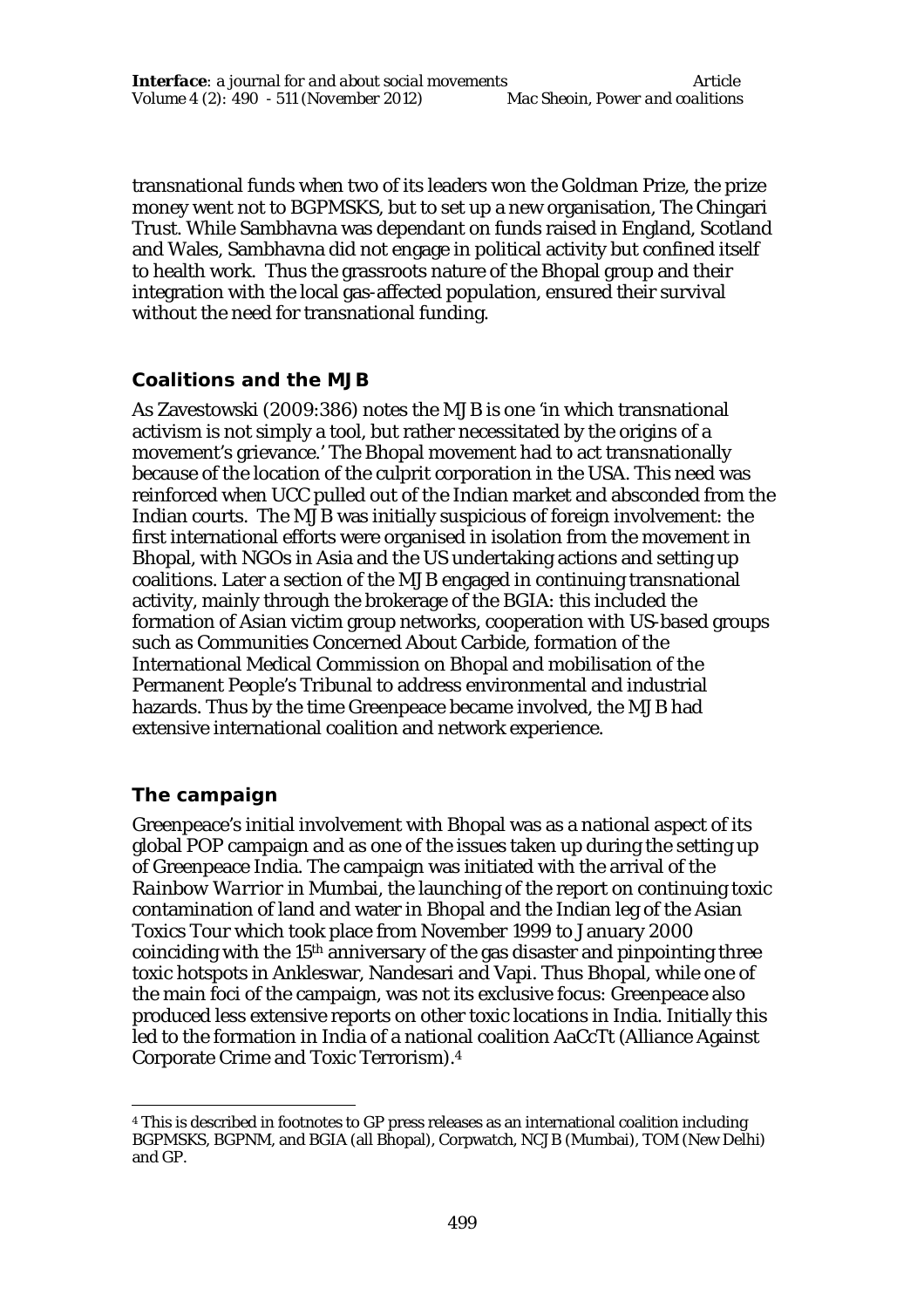transnational funds when two of its leaders won the Goldman Prize, the prize money went not to BGPMSKS, but to set up a new organisation, The Chingari Trust. While Sambhavna was dependant on funds raised in England, Scotland and Wales, Sambhavna did not engage in political activity but confined itself to health work. Thus the grassroots nature of the Bhopal group and their integration with the local gas-affected population, ensured their survival without the need for transnational funding.

### **Coalitions and the MJB**

As Zavestowski (2009:386) notes the MJB is one 'in which transnational activism is not simply a tool, but rather necessitated by the origins of a movement's grievance.' The Bhopal movement had to act transnationally because of the location of the culprit corporation in the USA. This need was reinforced when UCC pulled out of the Indian market and absconded from the Indian courts. The MJB was initially suspicious of foreign involvement: the first international efforts were organised in isolation from the movement in Bhopal, with NGOs in Asia and the US undertaking actions and setting up coalitions. Later a section of the MJB engaged in continuing transnational activity, mainly through the brokerage of the BGIA: this included the formation of Asian victim group networks, cooperation with US-based groups such as Communities Concerned About Carbide, formation of the International Medical Commission on Bhopal and mobilisation of the Permanent People's Tribunal to address environmental and industrial hazards. Thus by the time Greenpeace became involved, the MJB had extensive international coalition and network experience.

### **The campaign**

Greenpeace's initial involvement with Bhopal was as a national aspect of its global POP campaign and as one of the issues taken up during the setting up of Greenpeace India. The campaign was initiated with the arrival of the *Rainbow Warrior* in Mumbai, the launching of the report on continuing toxic contamination of land and water in Bhopal and the Indian leg of the Asian Toxics Tour which took place from November 1999 to January 2000 coinciding with the 15th anniversary of the gas disaster and pinpointing three toxic hotspots in Ankleswar, Nandesari and Vapi. Thus Bhopal, while one of the main foci of the campaign, was not its exclusive focus: Greenpeace also produced less extensive reports on other toxic locations in India. Initially this led to the formation in India of a national coalition AaCcTt (Alliance Against Corporate Crime and Toxic Terrorism).<sup>4</sup>

<sup>1</sup> <sup>4</sup> This is described in footnotes to GP press releases as an international coalition including BGPMSKS, BGPNM, and BGIA (all Bhopal), Corpwatch, NCJB (Mumbai), TOM (New Delhi) and GP.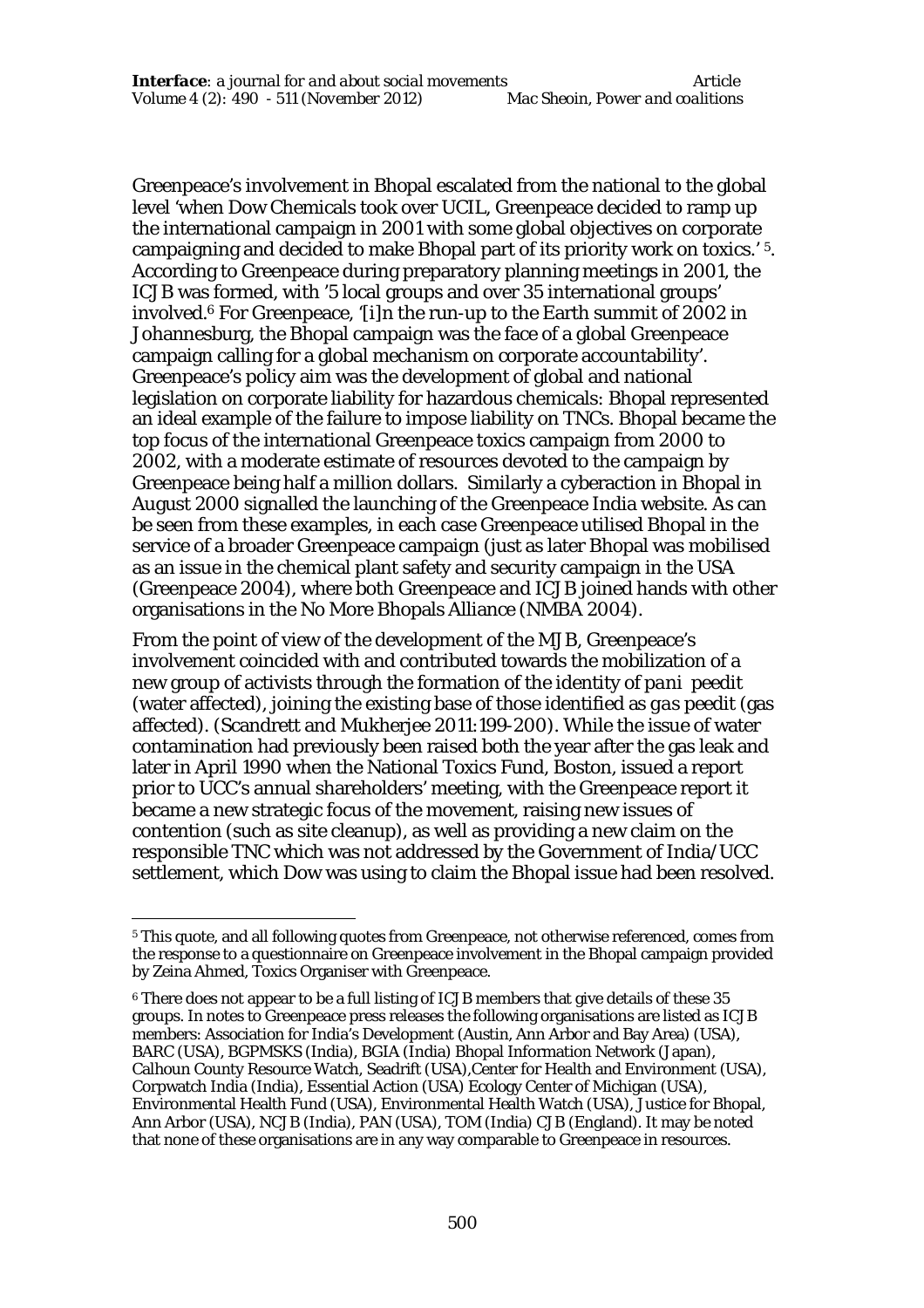Greenpeace's involvement in Bhopal escalated from the national to the global level 'when Dow Chemicals took over UCIL, Greenpeace decided to ramp up the international campaign in 2001 with some global objectives on corporate campaigning and decided to make Bhopal part of its priority work on toxics.' 5. According to Greenpeace during preparatory planning meetings in 2001, the ICJB was formed, with '5 local groups and over 35 international groups' involved.<sup>6</sup> For Greenpeace, '[i]n the run-up to the Earth summit of 2002 in Johannesburg, the Bhopal campaign was the face of a global Greenpeace campaign calling for a global mechanism on corporate accountability'. Greenpeace's policy aim was the development of global and national legislation on corporate liability for hazardous chemicals: Bhopal represented an ideal example of the failure to impose liability on TNCs. Bhopal became the top focus of the international Greenpeace toxics campaign from 2000 to 2002, with a moderate estimate of resources devoted to the campaign by Greenpeace being half a million dollars. Similarly a cyberaction in Bhopal in August 2000 signalled the launching of the Greenpeace India website. As can be seen from these examples, in each case Greenpeace utilised Bhopal in the service of a broader Greenpeace campaign (just as later Bhopal was mobilised as an issue in the chemical plant safety and security campaign in the USA (Greenpeace 2004), where both Greenpeace and ICJB joined hands with other organisations in the No More Bhopals Alliance (NMBA 2004).

From the point of view of the development of the MJB, Greenpeace's involvement coincided with and contributed towards the mobilization of a new group of activists through the formation of the identity of *pani peedit* (water affected), joining the existing base of those identified as *gas peedit* (gas affected). (Scandrett and Mukherjee 2011:199-200). While the issue of water contamination had previously been raised both the year after the gas leak and later in April 1990 when the National Toxics Fund, Boston, issued a report prior to UCC's annual shareholders' meeting, with the Greenpeace report it became a new strategic focus of the movement, raising new issues of contention (such as site cleanup), as well as providing a new claim on the responsible TNC which was not addressed by the Government of India/UCC settlement, which Dow was using to claim the Bhopal issue had been resolved.

 $\overline{a}$ 

<sup>5</sup> This quote, and all following quotes from Greenpeace, not otherwise referenced, comes from the response to a questionnaire on Greenpeace involvement in the Bhopal campaign provided by Zeina Ahmed, Toxics Organiser with Greenpeace.

<sup>6</sup> There does not appear to be a full listing of ICJB members that give details of these 35 groups. In notes to Greenpeace press releases the following organisations are listed as ICJB members: Association for India's Development (Austin, Ann Arbor and Bay Area) (USA), BARC (USA), BGPMSKS (India), BGIA (India) Bhopal Information Network (Japan), Calhoun County Resource Watch, Seadrift (USA),Center for Health and Environment (USA), Corpwatch India (India), Essential Action (USA) Ecology Center of Michigan (USA), Environmental Health Fund (USA), Environmental Health Watch (USA), Justice for Bhopal, Ann Arbor (USA), NCJB (India), PAN (USA), TOM (India) CJB (England). It may be noted that none of these organisations are in any way comparable to Greenpeace in resources.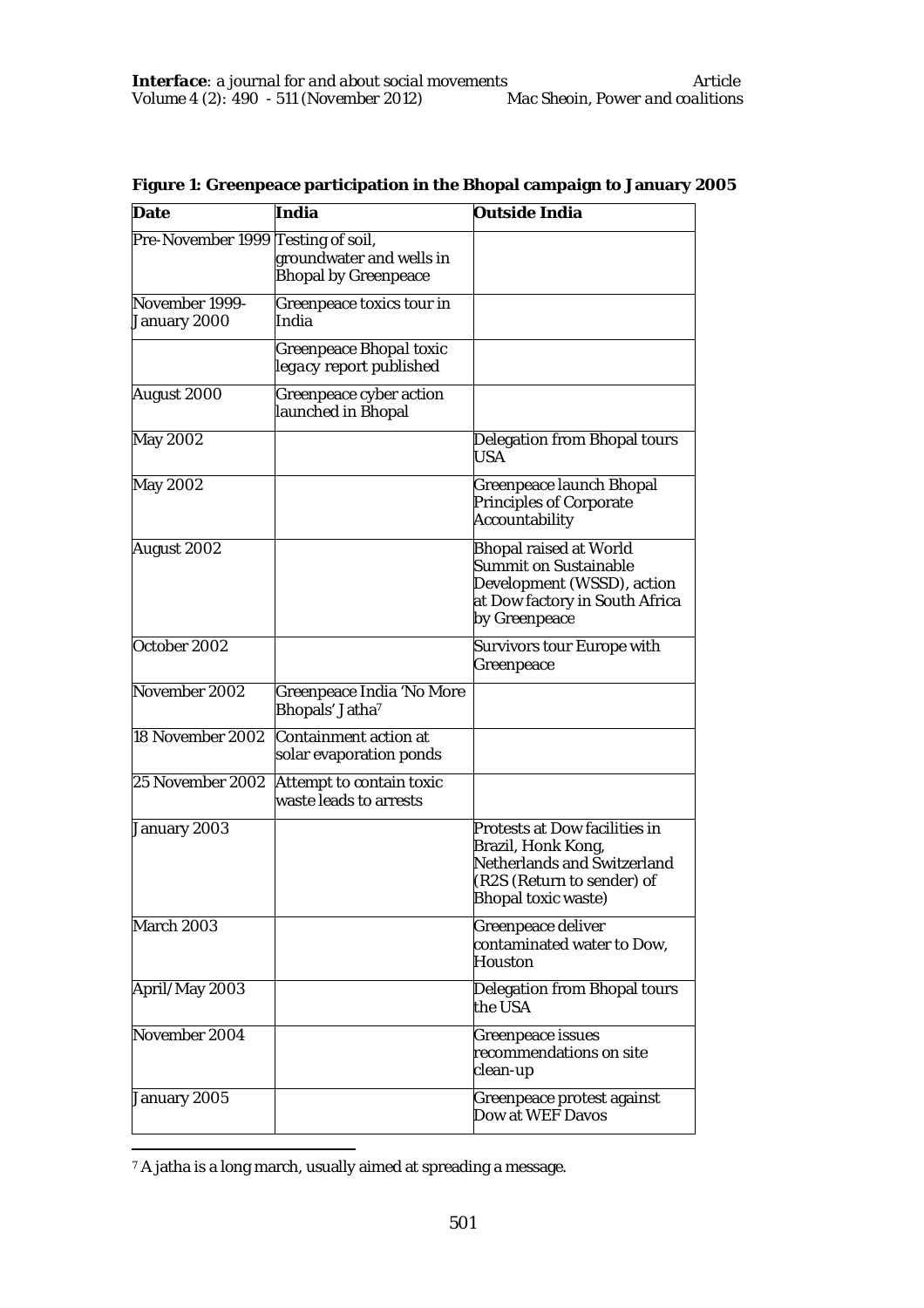| Date                               | India                                                   | <b>Outside India</b>                                                                                                                    |
|------------------------------------|---------------------------------------------------------|-----------------------------------------------------------------------------------------------------------------------------------------|
| Pre-November 1999 Testing of soil, | groundwater and wells in<br><b>Bhopal by Greenpeace</b> |                                                                                                                                         |
| November 1999-<br>January 2000     | Greenpeace toxics tour in<br>India                      |                                                                                                                                         |
|                                    | Greenpeace Bhopal toxic<br>legacy report published      |                                                                                                                                         |
| August 2000                        | Greenpeace cyber action<br>launched in Bhopal           |                                                                                                                                         |
| May 2002                           |                                                         | Delegation from Bhopal tours<br>USA                                                                                                     |
| May 2002                           |                                                         | Greenpeace launch Bhopal<br>Principles of Corporate<br>Accountability                                                                   |
| August 2002                        |                                                         | <b>Bhopal raised at World</b><br>Summit on Sustainable<br>Development (WSSD), action<br>at Dow factory in South Africa<br>by Greenpeace |
| October 2002                       |                                                         | Survivors tour Europe with<br>Greenpeace                                                                                                |
| November 2002                      | Greenpeace India 'No More<br>Bhopals' Jatha7            |                                                                                                                                         |
| 18 November 2002                   | Containment action at<br>solar evaporation ponds        |                                                                                                                                         |
| 25 November 2002                   | Attempt to contain toxic<br>waste leads to arrests      |                                                                                                                                         |
| January 2003                       |                                                         | Protests at Dow facilities in<br>Brazil, Honk Kong,<br>Netherlands and Switzerland<br>(R2S (Return to sender) of<br>Bhopal toxic waste) |
| March 2003                         |                                                         | Greenpeace deliver<br>contaminated water to Dow,<br>Houston                                                                             |
| April/May 2003                     |                                                         | Delegation from Bhopal tours<br>the USA                                                                                                 |
| November 2004                      |                                                         | Greenpeace issues<br>recommendations on site<br>clean-up                                                                                |
| January 2005                       |                                                         | Greenpeace protest against<br>Dow at WEF Davos                                                                                          |

**Figure 1: Greenpeace participation in the Bhopal campaign to January 2005**

 $\overline{a}$ <sup>7</sup> A jatha is a long march, usually aimed at spreading a message.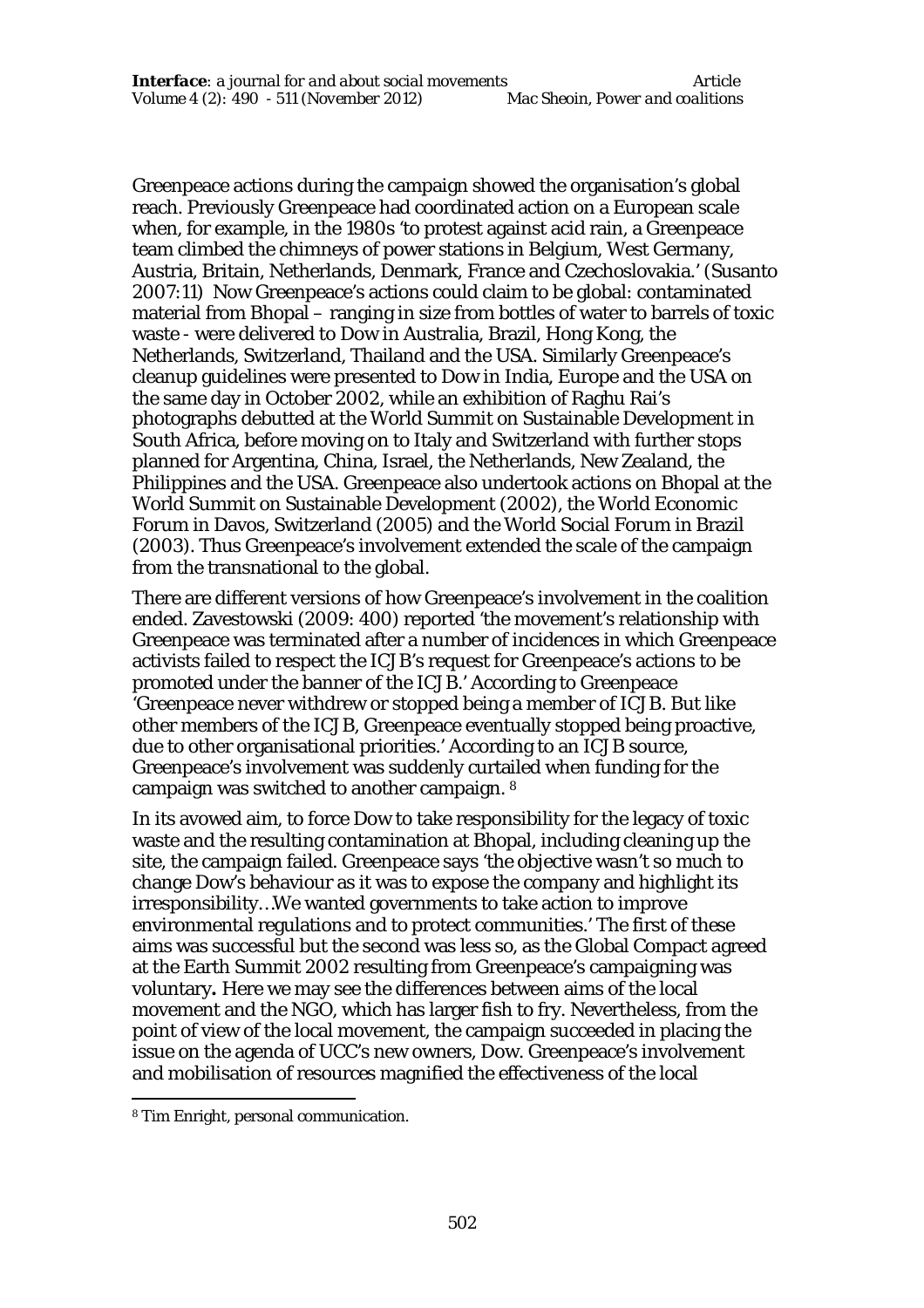Greenpeace actions during the campaign showed the organisation's global reach. Previously Greenpeace had coordinated action on a European scale when, for example, in the 1980s 'to protest against acid rain, a Greenpeace team climbed the chimneys of power stations in Belgium, West Germany, Austria, Britain, Netherlands, Denmark, France and Czechoslovakia.' (Susanto 2007:11) Now Greenpeace's actions could claim to be global: contaminated material from Bhopal – ranging in size from bottles of water to barrels of toxic waste - were delivered to Dow in Australia, Brazil, Hong Kong, the Netherlands, Switzerland, Thailand and the USA. Similarly Greenpeace's cleanup guidelines were presented to Dow in India, Europe and the USA on the same day in October 2002, while an exhibition of Raghu Rai's photographs debutted at the World Summit on Sustainable Development in South Africa, before moving on to Italy and Switzerland with further stops planned for Argentina, China, Israel, the Netherlands, New Zealand, the Philippines and the USA. Greenpeace also undertook actions on Bhopal at the World Summit on Sustainable Development (2002), the World Economic Forum in Davos, Switzerland (2005) and the World Social Forum in Brazil (2003). Thus Greenpeace's involvement extended the scale of the campaign from the transnational to the global.

There are different versions of how Greenpeace's involvement in the coalition ended. Zavestowski (2009: 400) reported 'the movement's relationship with Greenpeace was terminated after a number of incidences in which Greenpeace activists failed to respect the ICJB's request for Greenpeace's actions to be promoted under the banner of the ICJB.' According to Greenpeace 'Greenpeace never withdrew or stopped being a member of ICJB. But like other members of the ICJB, Greenpeace eventually stopped being proactive, due to other organisational priorities.' According to an ICJB source, Greenpeace's involvement was suddenly curtailed when funding for the campaign was switched to another campaign. <sup>8</sup>

In its avowed aim, to force Dow to take responsibility for the legacy of toxic waste and the resulting contamination at Bhopal, including cleaning up the site, the campaign failed. Greenpeace says 'the objective wasn't so much to change Dow's behaviour as it was to expose the company and highlight its irresponsibility…We wanted governments to take action to improve environmental regulations and to protect communities.' The first of these aims was successful but the second was less so, as the Global Compact agreed at the Earth Summit 2002 resulting from Greenpeace's campaigning was voluntary**.** Here we may see the differences between aims of the local movement and the NGO, which has larger fish to fry. Nevertheless, from the point of view of the local movement, the campaign succeeded in placing the issue on the agenda of UCC's new owners, Dow. Greenpeace's involvement and mobilisation of resources magnified the effectiveness of the local

 $\overline{a}$ 

<sup>8</sup> Tim Enright, personal communication.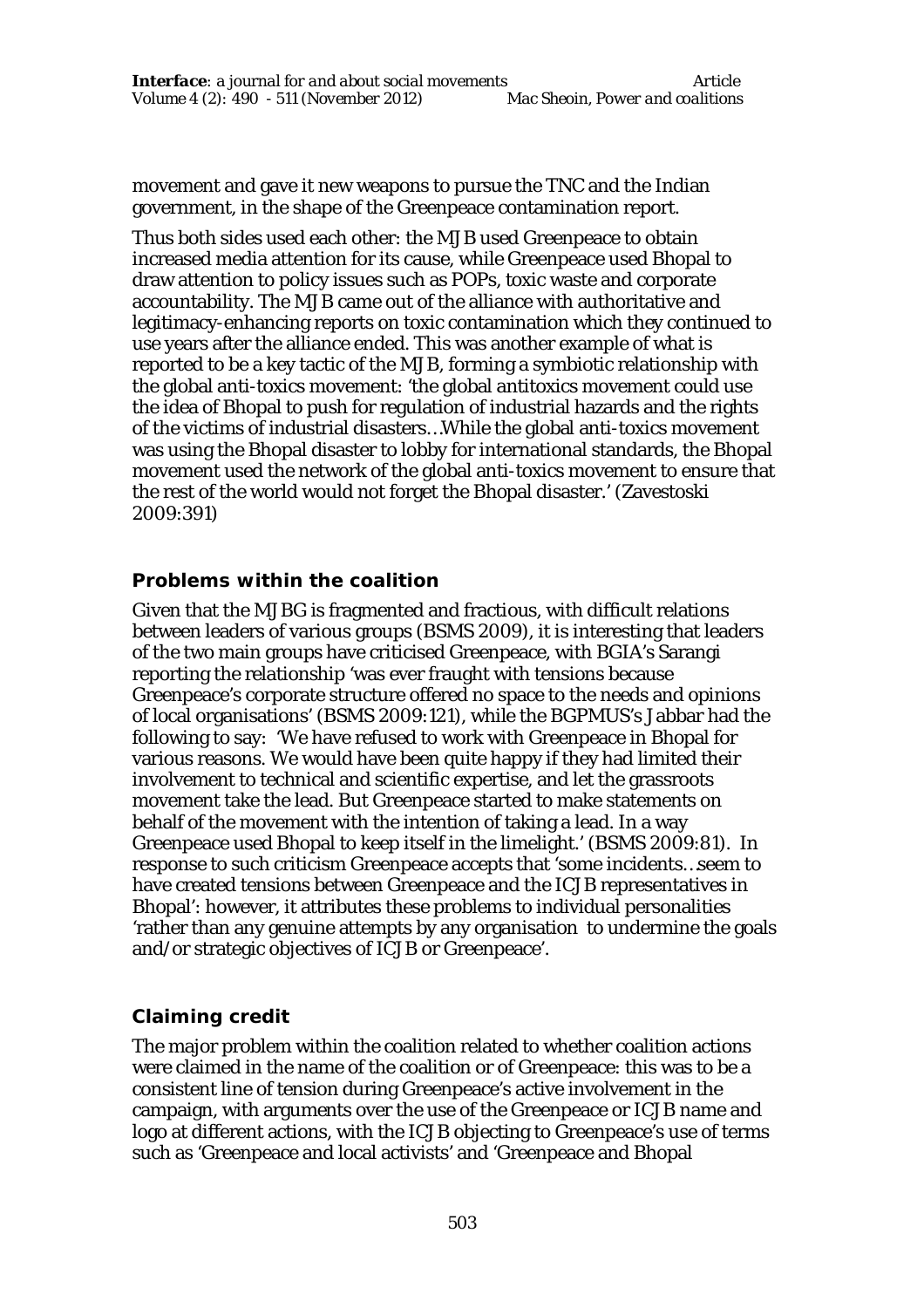movement and gave it new weapons to pursue the TNC and the Indian government, in the shape of the Greenpeace contamination report.

Thus both sides used each other: the MJB used Greenpeace to obtain increased media attention for its cause, while Greenpeace used Bhopal to draw attention to policy issues such as POPs, toxic waste and corporate accountability. The MJB came out of the alliance with authoritative and legitimacy-enhancing reports on toxic contamination which they continued to use years after the alliance ended. This was another example of what is reported to be a key tactic of the MJB, forming a symbiotic relationship with the global anti-toxics movement: 'the global antitoxics movement could use the idea of Bhopal to push for regulation of industrial hazards and the rights of the victims of industrial disasters…While the global anti-toxics movement was using the Bhopal disaster to lobby for international standards, the Bhopal movement used the network of the global anti-toxics movement to ensure that the rest of the world would not forget the Bhopal disaster.' (Zavestoski 2009:391)

### **Problems within the coalition**

Given that the MJBG is fragmented and fractious, with difficult relations between leaders of various groups (BSMS 2009), it is interesting that leaders of the two main groups have criticised Greenpeace, with BGIA's Sarangi reporting the relationship 'was ever fraught with tensions because Greenpeace's corporate structure offered no space to the needs and opinions of local organisations' (BSMS 2009:121), while the BGPMUS's Jabbar had the following to say: 'We have refused to work with Greenpeace in Bhopal for various reasons. We would have been quite happy if they had limited their involvement to technical and scientific expertise, and let the grassroots movement take the lead. But Greenpeace started to make statements on behalf of the movement with the intention of taking a lead. In a way Greenpeace used Bhopal to keep itself in the limelight.' (BSMS 2009:81). In response to such criticism Greenpeace accepts that 'some incidents…seem to have created tensions between Greenpeace and the ICJB representatives in Bhopal': however, it attributes these problems to individual personalities 'rather than any genuine attempts by any organisation to undermine the goals and/or strategic objectives of ICJB or Greenpeace'.

# **Claiming credit**

The major problem within the coalition related to whether coalition actions were claimed in the name of the coalition or of Greenpeace: this was to be a consistent line of tension during Greenpeace's active involvement in the campaign, with arguments over the use of the Greenpeace or ICJB name and logo at different actions, with the ICJB objecting to Greenpeace's use of terms such as 'Greenpeace and local activists' and 'Greenpeace and Bhopal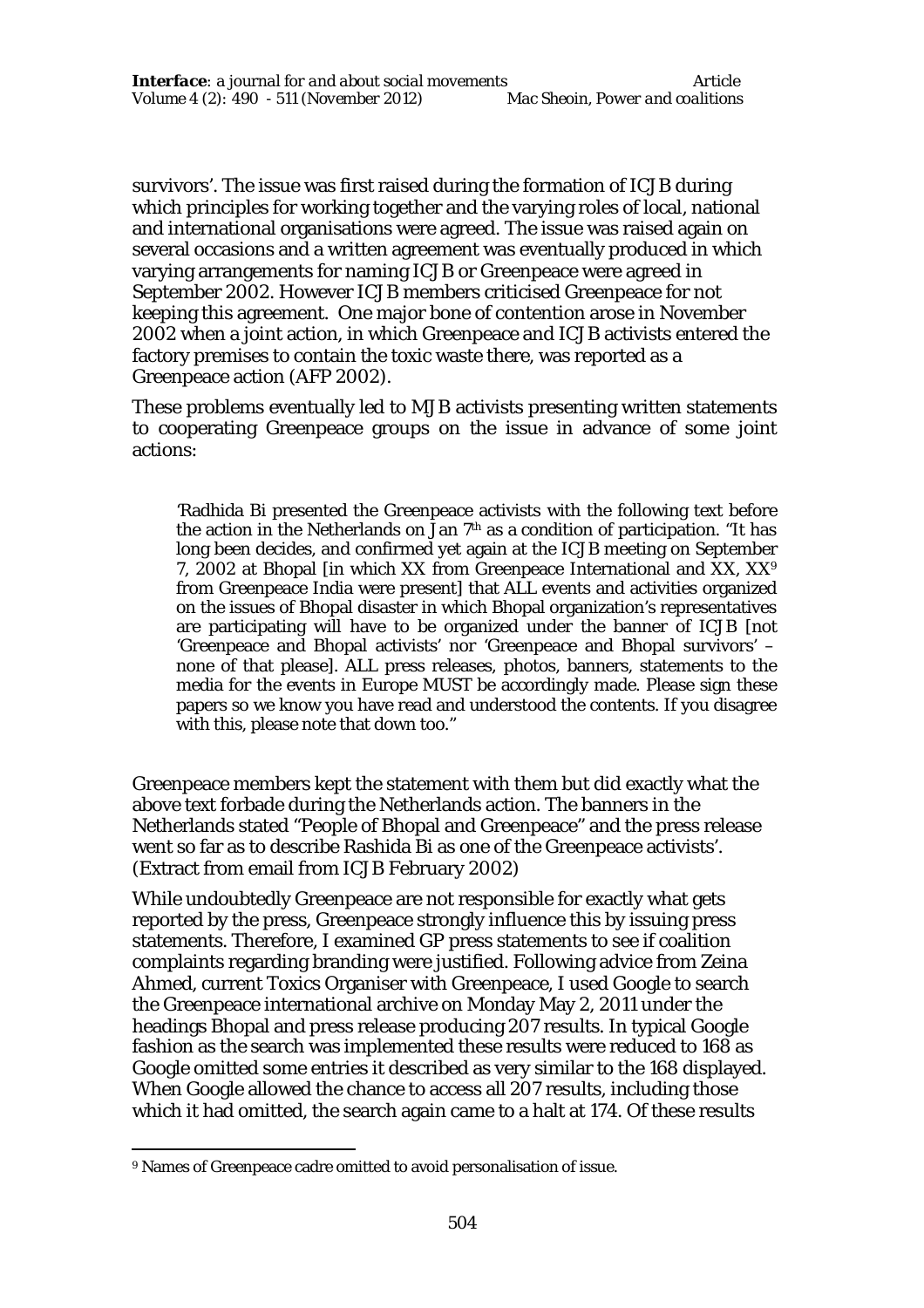survivors'. The issue was first raised during the formation of ICJB during which principles for working together and the varying roles of local, national and international organisations were agreed. The issue was raised again on several occasions and a written agreement was eventually produced in which varying arrangements for naming ICJB or Greenpeace were agreed in September 2002. However ICJB members criticised Greenpeace for not keeping this agreement. One major bone of contention arose in November 2002 when a joint action, in which Greenpeace and ICJB activists entered the factory premises to contain the toxic waste there, was reported as a Greenpeace action (AFP 2002).

These problems eventually led to MJB activists presenting written statements to cooperating Greenpeace groups on the issue in advance of some joint actions:

'Radhida Bi presented the Greenpeace activists with the following text before the action in the Netherlands on Jan  $7<sup>th</sup>$  as a condition of participation. "It has long been decides, and confirmed yet again at the ICJB meeting on September 7, 2002 at Bhopal [in which XX from Greenpeace International and XX, XX<sup>9</sup> from Greenpeace India were present] that ALL events and activities organized on the issues of Bhopal disaster in which Bhopal organization's representatives are participating will have to be organized under the banner of ICJB [not 'Greenpeace and Bhopal activists' nor 'Greenpeace and Bhopal survivors' – none of that please]. ALL press releases, photos, banners, statements to the media for the events in Europe MUST be accordingly made. Please sign these papers so we know you have read and understood the contents. If you disagree with this, please note that down too."

Greenpeace members kept the statement with them but did exactly what the above text forbade during the Netherlands action. The banners in the Netherlands stated "People of Bhopal and Greenpeace" and the press release went so far as to describe Rashida Bi as one of the Greenpeace activists'. (Extract from email from ICJB February 2002)

While undoubtedly Greenpeace are not responsible for exactly what gets reported by the press, Greenpeace strongly influence this by issuing press statements. Therefore, I examined GP press statements to see if coalition complaints regarding branding were justified. Following advice from Zeina Ahmed, current Toxics Organiser with Greenpeace, I used Google to search the Greenpeace international archive on Monday May 2, 2011 under the headings Bhopal and press release producing 207 results. In typical Google fashion as the search was implemented these results were reduced to 168 as Google omitted some entries it described as very similar to the 168 displayed. When Google allowed the chance to access all 207 results, including those which it had omitted, the search again came to a halt at 174. Of these results

 $\overline{a}$ <sup>9</sup> Names of Greenpeace cadre omitted to avoid personalisation of issue.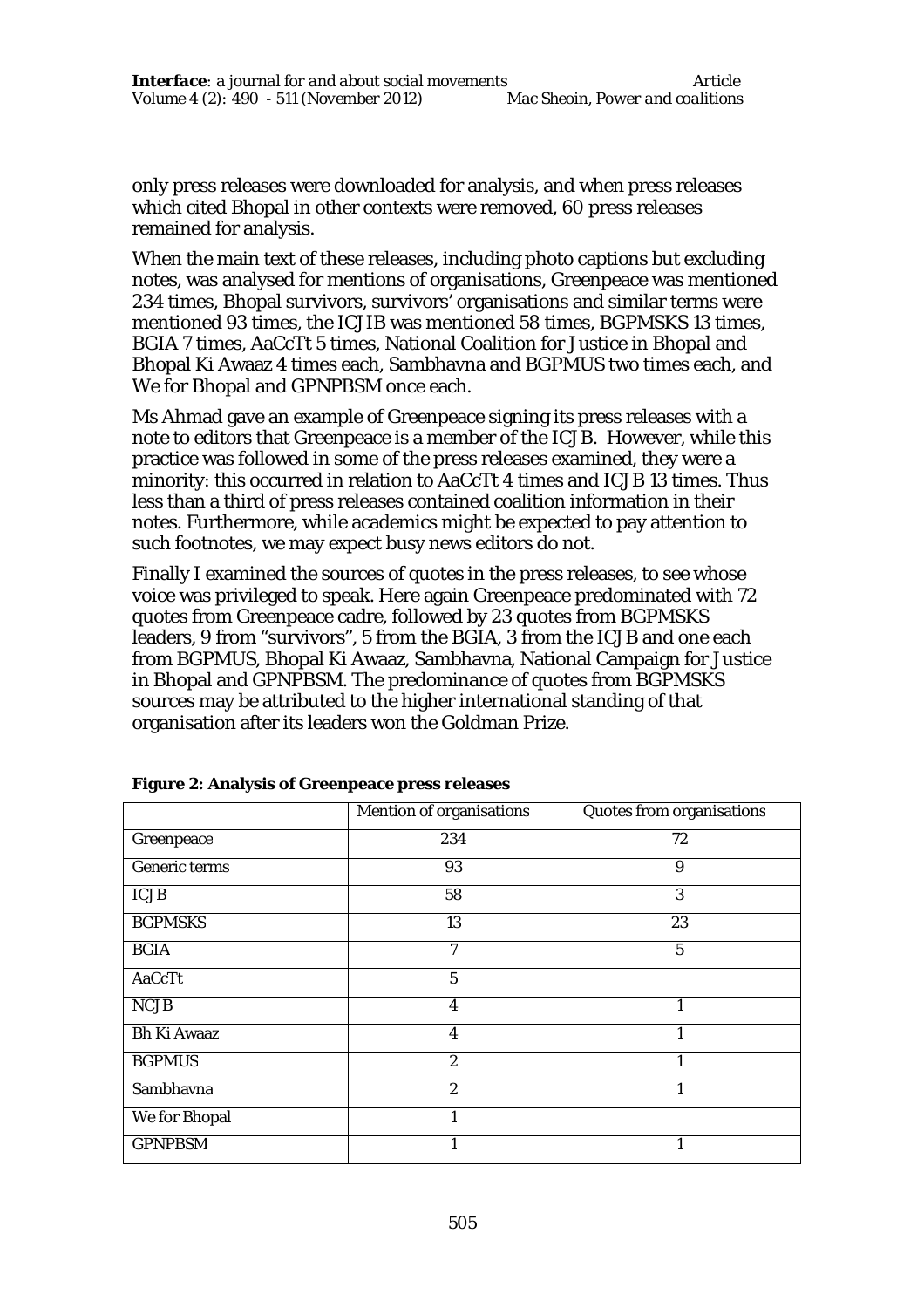only press releases were downloaded for analysis, and when press releases which cited Bhopal in other contexts were removed, 60 press releases remained for analysis.

When the main text of these releases, including photo captions but excluding notes, was analysed for mentions of organisations, Greenpeace was mentioned 234 times, Bhopal survivors, survivors' organisations and similar terms were mentioned 93 times, the ICJIB was mentioned 58 times, BGPMSKS 13 times, BGIA 7 times, AaCcTt 5 times, National Coalition for Justice in Bhopal and Bhopal Ki Awaaz 4 times each, Sambhavna and BGPMUS two times each, and We for Bhopal and GPNPBSM once each.

Ms Ahmad gave an example of Greenpeace signing its press releases with a note to editors that Greenpeace is a member of the ICJB. However, while this practice was followed in some of the press releases examined, they were a minority: this occurred in relation to AaCcTt 4 times and ICJB 13 times. Thus less than a third of press releases contained coalition information in their notes. Furthermore, while academics might be expected to pay attention to such footnotes, we may expect busy news editors do not.

Finally I examined the sources of quotes in the press releases, to see whose voice was privileged to speak. Here again Greenpeace predominated with 72 quotes from Greenpeace cadre, followed by 23 quotes from BGPMSKS leaders, 9 from "survivors", 5 from the BGIA, 3 from the ICJB and one each from BGPMUS, Bhopal Ki Awaaz, Sambhavna, National Campaign for Justice in Bhopal and GPNPBSM. The predominance of quotes from BGPMSKS sources may be attributed to the higher international standing of that organisation after its leaders won the Goldman Prize.

|                    | Mention of organisations | Quotes from organisations |
|--------------------|--------------------------|---------------------------|
| Greenpeace         | 234                      | 72                        |
| Generic terms      | 93                       | 9                         |
| <b>ICJB</b>        | 58                       | 3                         |
| <b>BGPMSKS</b>     | 13                       | 23                        |
| <b>BGIA</b>        | 7                        | 5                         |
| AaCcTt             | 5                        |                           |
| <b>NCJB</b>        | 4                        |                           |
| <b>Bh Ki Awaaz</b> | $\overline{4}$           |                           |
| <b>BGPMUS</b>      | $\overline{2}$           | 1                         |
| Sambhavna          | $\overline{2}$           |                           |
| We for Bhopal      |                          |                           |
| <b>GPNPBSM</b>     |                          |                           |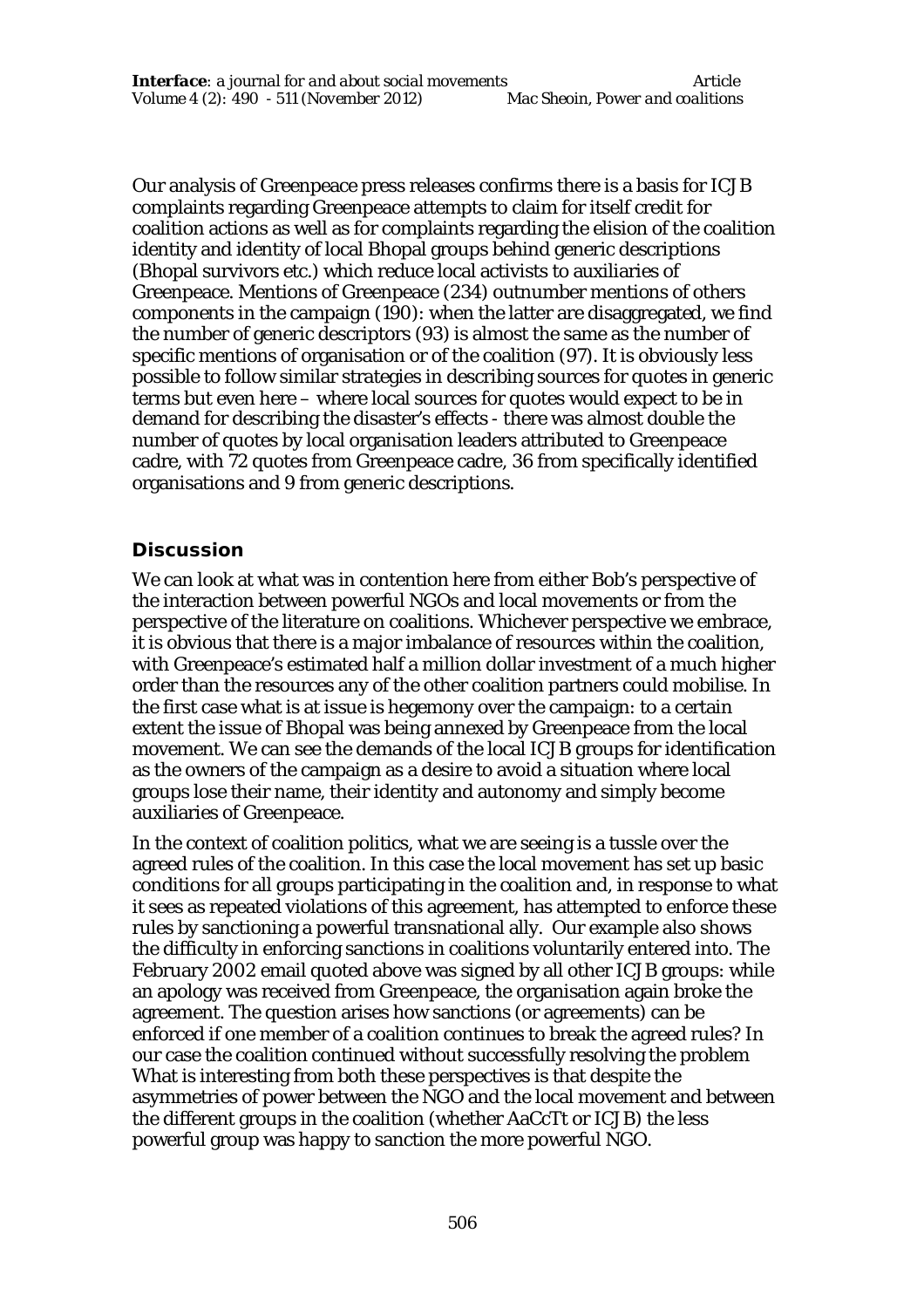Our analysis of Greenpeace press releases confirms there is a basis for ICJB complaints regarding Greenpeace attempts to claim for itself credit for coalition actions as well as for complaints regarding the elision of the coalition identity and identity of local Bhopal groups behind generic descriptions (Bhopal survivors etc.) which reduce local activists to auxiliaries of Greenpeace. Mentions of Greenpeace (234) outnumber mentions of others components in the campaign (190): when the latter are disaggregated, we find the number of generic descriptors (93) is almost the same as the number of specific mentions of organisation or of the coalition (97). It is obviously less possible to follow similar strategies in describing sources for quotes in generic terms but even here – where local sources for quotes would expect to be in demand for describing the disaster's effects - there was almost double the number of quotes by local organisation leaders attributed to Greenpeace cadre, with 72 quotes from Greenpeace cadre, 36 from specifically identified organisations and 9 from generic descriptions.

### **Discussion**

We can look at what was in contention here from either Bob's perspective of the interaction between powerful NGOs and local movements or from the perspective of the literature on coalitions. Whichever perspective we embrace, it is obvious that there is a major imbalance of resources within the coalition, with Greenpeace's estimated half a million dollar investment of a much higher order than the resources any of the other coalition partners could mobilise. In the first case what is at issue is hegemony over the campaign: to a certain extent the issue of Bhopal was being annexed by Greenpeace from the local movement. We can see the demands of the local ICJB groups for identification as the owners of the campaign as a desire to avoid a situation where local groups lose their name, their identity and autonomy and simply become auxiliaries of Greenpeace.

In the context of coalition politics, what we are seeing is a tussle over the agreed rules of the coalition. In this case the local movement has set up basic conditions for all groups participating in the coalition and, in response to what it sees as repeated violations of this agreement, has attempted to enforce these rules by sanctioning a powerful transnational ally. Our example also shows the difficulty in enforcing sanctions in coalitions voluntarily entered into. The February 2002 email quoted above was signed by all other ICJB groups: while an apology was received from Greenpeace, the organisation again broke the agreement. The question arises how sanctions (or agreements) can be enforced if one member of a coalition continues to break the agreed rules? In our case the coalition continued without successfully resolving the problem What is interesting from both these perspectives is that despite the asymmetries of power between the NGO and the local movement and between the different groups in the coalition (whether AaCcTt or ICJB) the less powerful group was happy to sanction the more powerful NGO.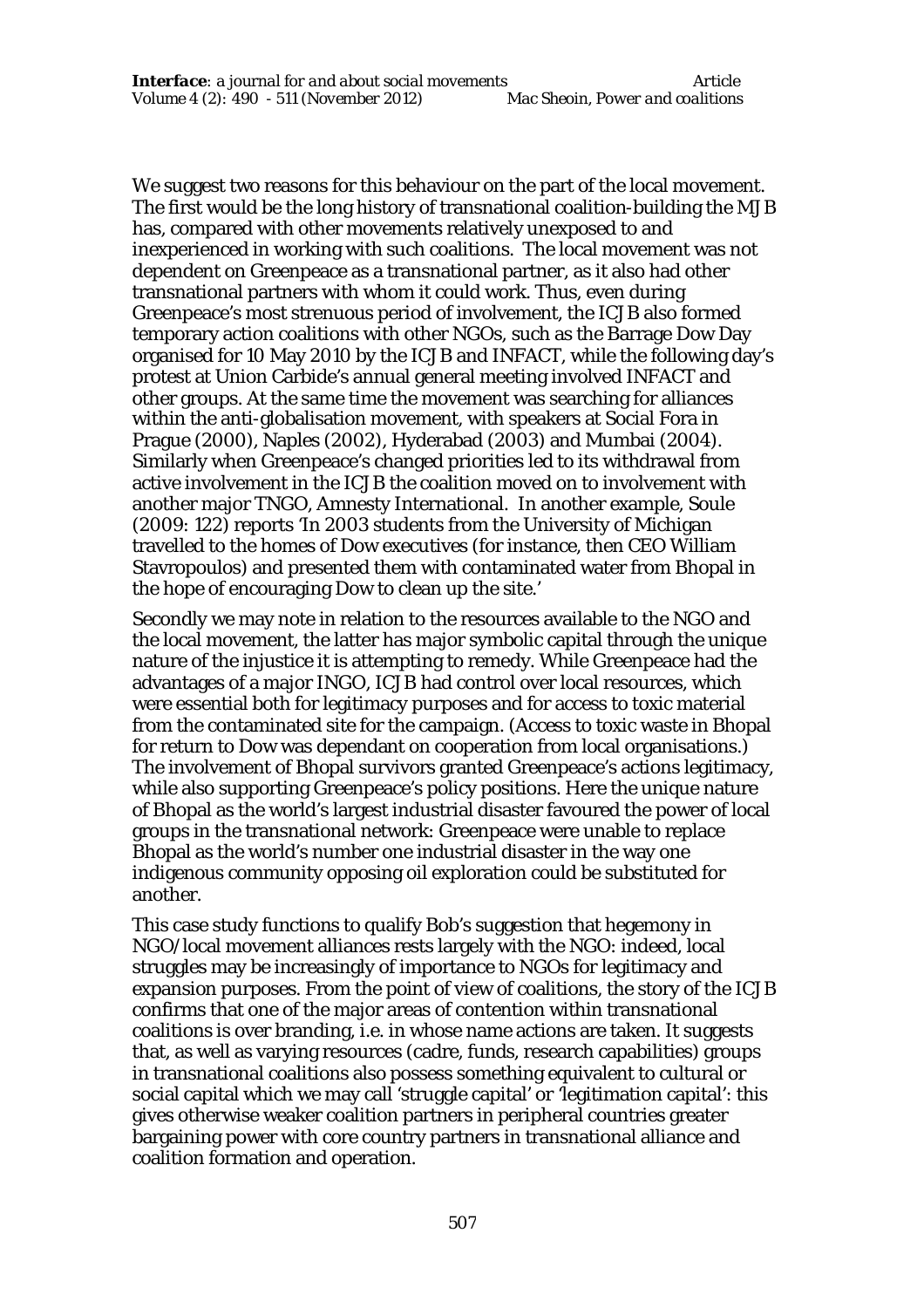We suggest two reasons for this behaviour on the part of the local movement. The first would be the long history of transnational coalition-building the MJB has, compared with other movements relatively unexposed to and inexperienced in working with such coalitions. The local movement was not dependent on Greenpeace as a transnational partner, as it also had other transnational partners with whom it could work. Thus, even during Greenpeace's most strenuous period of involvement, the ICJB also formed temporary action coalitions with other NGOs, such as the Barrage Dow Day organised for 10 May 2010 by the ICJB and INFACT, while the following day's protest at Union Carbide's annual general meeting involved INFACT and other groups. At the same time the movement was searching for alliances within the anti-globalisation movement, with speakers at Social Fora in Prague (2000), Naples (2002), Hyderabad (2003) and Mumbai (2004). Similarly when Greenpeace's changed priorities led to its withdrawal from active involvement in the ICJB the coalition moved on to involvement with another major TNGO, Amnesty International. In another example, Soule (2009: 122) reports 'In 2003 students from the University of Michigan travelled to the homes of Dow executives (for instance, then CEO William Stavropoulos) and presented them with contaminated water from Bhopal in the hope of encouraging Dow to clean up the site.'

Secondly we may note in relation to the resources available to the NGO and the local movement, the latter has major symbolic capital through the unique nature of the injustice it is attempting to remedy. While Greenpeace had the advantages of a major INGO, ICJB had control over local resources, which were essential both for legitimacy purposes and for access to toxic material from the contaminated site for the campaign. (Access to toxic waste in Bhopal for return to Dow was dependant on cooperation from local organisations.) The involvement of Bhopal survivors granted Greenpeace's actions legitimacy, while also supporting Greenpeace's policy positions. Here the unique nature of Bhopal as the world's largest industrial disaster favoured the power of local groups in the transnational network: Greenpeace were unable to replace Bhopal as the world's number one industrial disaster in the way one indigenous community opposing oil exploration could be substituted for another.

This case study functions to qualify Bob's suggestion that hegemony in NGO/local movement alliances rests largely with the NGO: indeed, local struggles may be increasingly of importance to NGOs for legitimacy and expansion purposes. From the point of view of coalitions, the story of the ICJB confirms that one of the major areas of contention within transnational coalitions is over branding, i.e. in whose name actions are taken. It suggests that, as well as varying resources (cadre, funds, research capabilities) groups in transnational coalitions also possess something equivalent to cultural or social capital which we may call 'struggle capital' or 'legitimation capital': this gives otherwise weaker coalition partners in peripheral countries greater bargaining power with core country partners in transnational alliance and coalition formation and operation.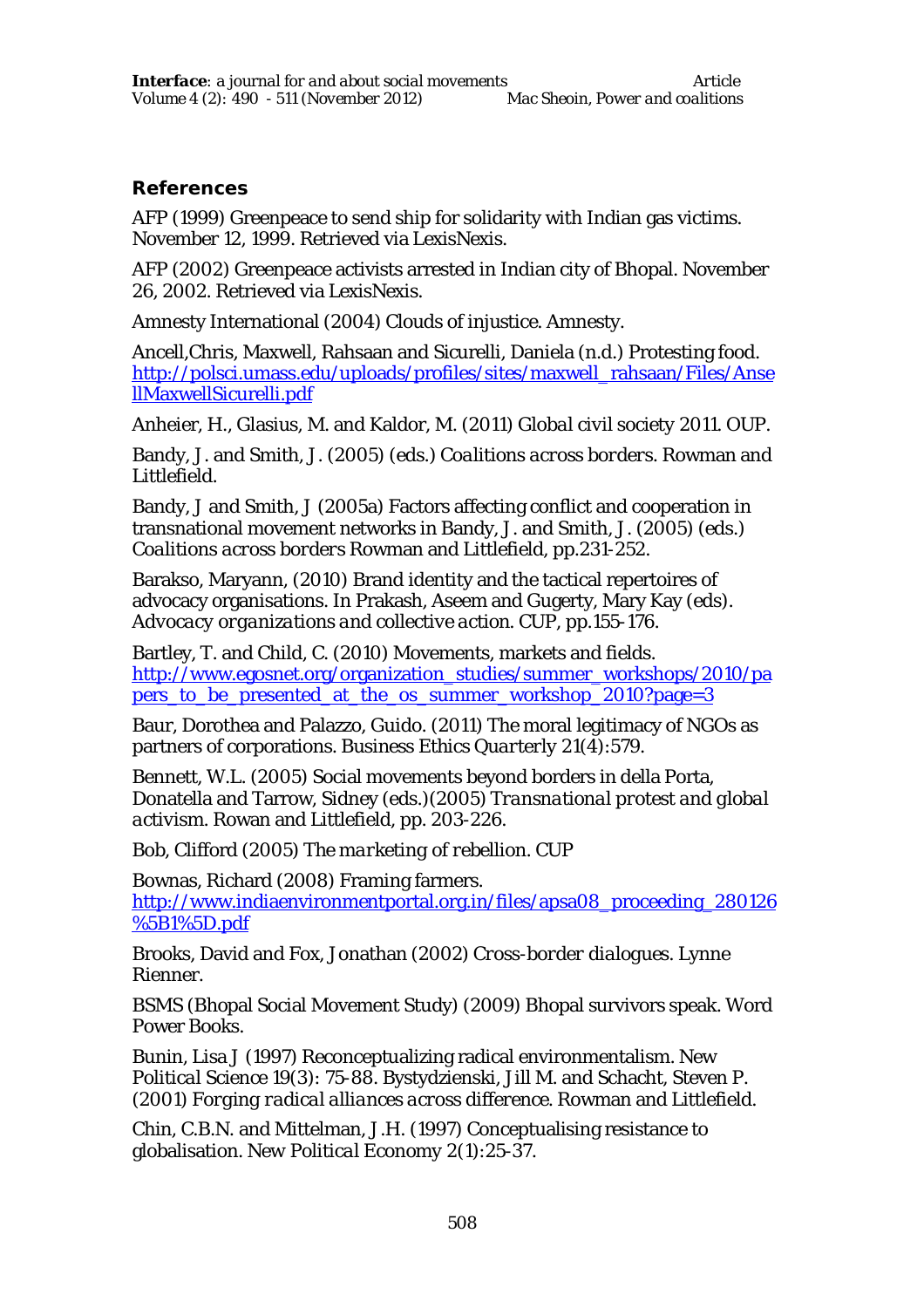#### **References**

AFP (1999) Greenpeace to send ship for solidarity with Indian gas victims. November 12, 1999. Retrieved via LexisNexis.

AFP (2002) Greenpeace activists arrested in Indian city of Bhopal. November 26, 2002. Retrieved via LexisNexis.

Amnesty International (2004) *Clouds of injustice*. Amnesty.

Ancell,Chris, Maxwell, Rahsaan and Sicurelli, Daniela (n.d.) Protesting food. http://polsci.umass.edu/uploads/profiles/sites/maxwell\_rahsaan/Files/Anse llMaxwellSicurelli.pdf

Anheier, H., Glasius, M. and Kaldor, M. (2011) *Global civil society 2011*. OUP.

Bandy, J. and Smith, J. (2005) (eds.) *Coalitions across borders*. Rowman and Littlefield.

Bandy, J and Smith, J (2005a) Factors affecting conflict and cooperation in transnational movement networks in Bandy, J. and Smith, J. (2005) (eds.) *Coalitions across borders* Rowman and Littlefield, pp.231-252.

Barakso, Maryann, (2010) Brand identity and the tactical repertoires of advocacy organisations. In Prakash, Aseem and Gugerty, Mary Kay (eds). *Advocacy organizations and collective action*. CUP, pp.155-176.

Bartley, T. and Child, C. (2010) Movements, markets and fields. http://www.egosnet.org/organization\_studies/summer\_workshops/2010/pa pers to be presented at the os summer workshop 2010?page=3

Baur, Dorothea and Palazzo, Guido. (2011) The moral legitimacy of NGOs as partners of corporations. *Business Ethics Quarterly* 21(4):579.

Bennett, W.L. (2005) Social movements beyond borders in della Porta, Donatella and Tarrow, Sidney (eds.)(2005) *Transnational protest and global activism*. Rowan and Littlefield, pp. 203-226.

Bob, Clifford (2005) *The marketing of rebellion*. CUP

Bownas, Richard (2008) Framing farmers. http://www.indiaenvironmentportal.org.in/files/apsa08\_proceeding\_280126 %5B1%5D.pdf

Brooks, David and Fox, Jonathan (2002) *Cross-border dialogues*. Lynne Rienner.

BSMS (Bhopal Social Movement Study) (2009) Bhopal survivors speak. Word Power Books.

Bunin, Lisa J (1997) Reconceptualizing radical environmentalism. *New Political Science* 19(3): 75-88. Bystydzienski, Jill M. and Schacht, Steven P. (2001) *Forging radical alliances across difference*. Rowman and Littlefield.

Chin, C.B.N. and Mittelman, J.H. (1997) Conceptualising resistance to globalisation. *New Political Economy* 2(1):25-37.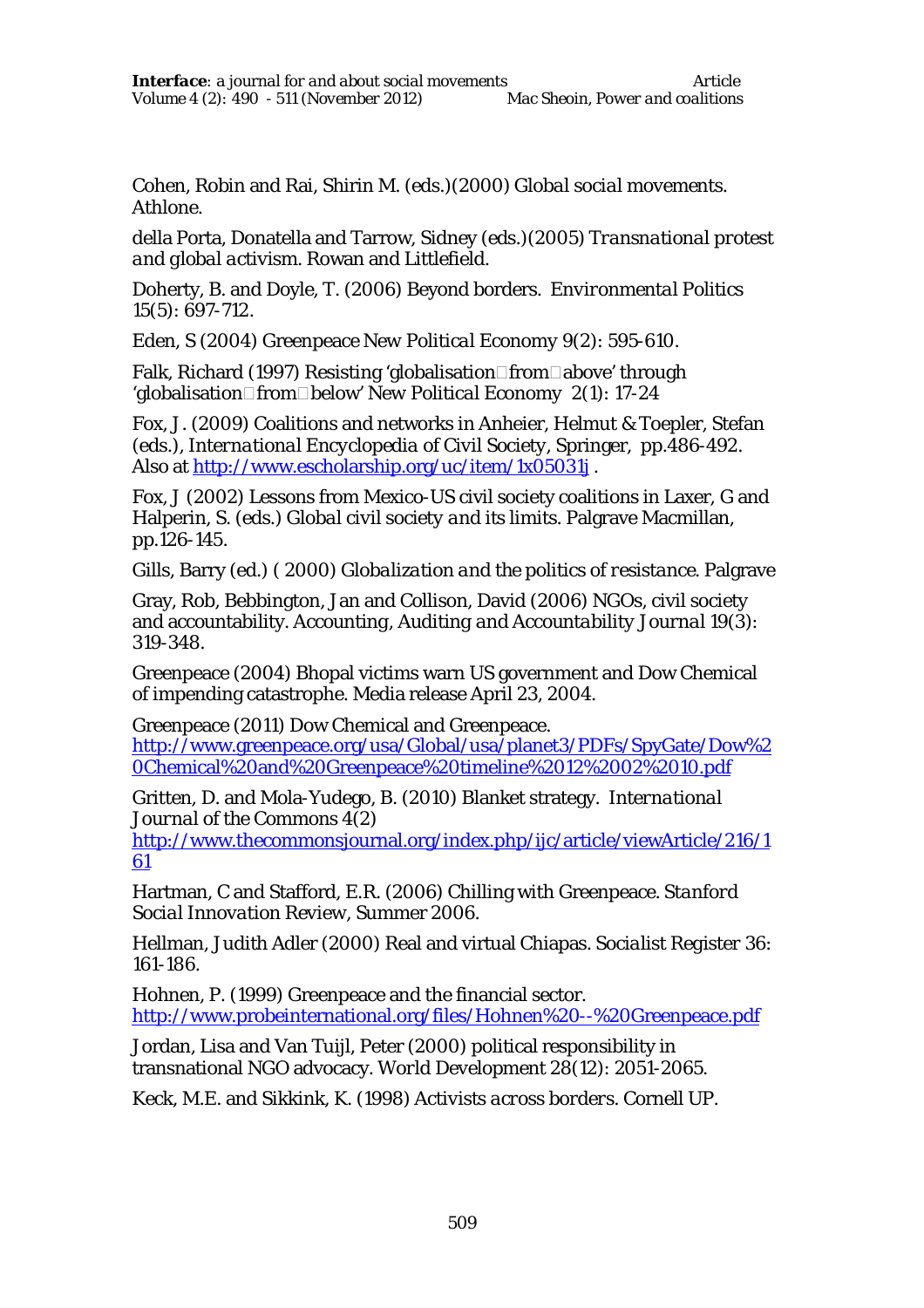Cohen, Robin and Rai, Shirin M. (eds.)(2000) *Global social movements*. Athlone.

della Porta, Donatella and Tarrow, Sidney (eds.)(2005) *Transnational protest and global activism*. Rowan and Littlefield.

Doherty, B. and Doyle, T. (2006) Beyond borders. *Environmental Politics*  15(5): 697-712.

Eden, S (2004) Greenpeace *New Political Economy* 9(2): 595-610.

Falk, Richard (1997) Resisting 'globalisation□from□above' through 'qlobalisation□from□below' *New Political Economy* 2(1): 17-24

Fox, J. (2009) Coalitions and networks in Anheier, Helmut & Toepler, Stefan (eds.), *International Encyclopedia of Civil Society*, Springer, pp.486-492. Also at http://www.escholarship.org/uc/item/1x05031j .

Fox, J (2002) Lessons from Mexico-US civil society coalitions in Laxer, G and Halperin, S. (eds.) *Global civil society and its limits*. Palgrave Macmillan, pp.126-145.

Gills, Barry (ed.) ( 2000) *Globalization and the politics of resistance*. Palgrave

Gray, Rob, Bebbington, Jan and Collison, David (2006) NGOs, civil society and accountability. *Accounting, Auditing and Accountability Journal* 19(3): 319-348.

Greenpeace (2004) Bhopal victims warn US government and Dow Chemical of impending catastrophe. Media release April 23, 2004.

Greenpeace (2011) Dow Chemical and Greenpeace. http://www.greenpeace.org/usa/Global/usa/planet3/PDFs/SpyGate/Dow%2 0Chemical%20and%20Greenpeace%20timeline%2012%2002%2010.pdf

Gritten, D. and Mola-Yudego, B. (2010) Blanket strategy. *International Journal of the Commons* 4(2)

http://www.thecommonsjournal.org/index.php/ijc/article/viewArticle/216/1 61

Hartman, C and Stafford, E.R. (2006) Chilling with Greenpeace. *Stanford Social Innovation Review*, Summer 2006.

Hellman, Judith Adler (2000) Real and virtual Chiapas. *Socialist Register* 36: 161-186*.*

Hohnen, P. (1999) Greenpeace and the financial sector. http://www.probeinternational.org/files/Hohnen%20--%20Greenpeace.pdf

Jordan, Lisa and Van Tuijl, Peter (2000) political responsibility in transnational NGO advocacy. *World Development* 28(12): 2051-2065.

Keck, M.E. and Sikkink, K. (1998) *Activists across borders*. Cornell UP.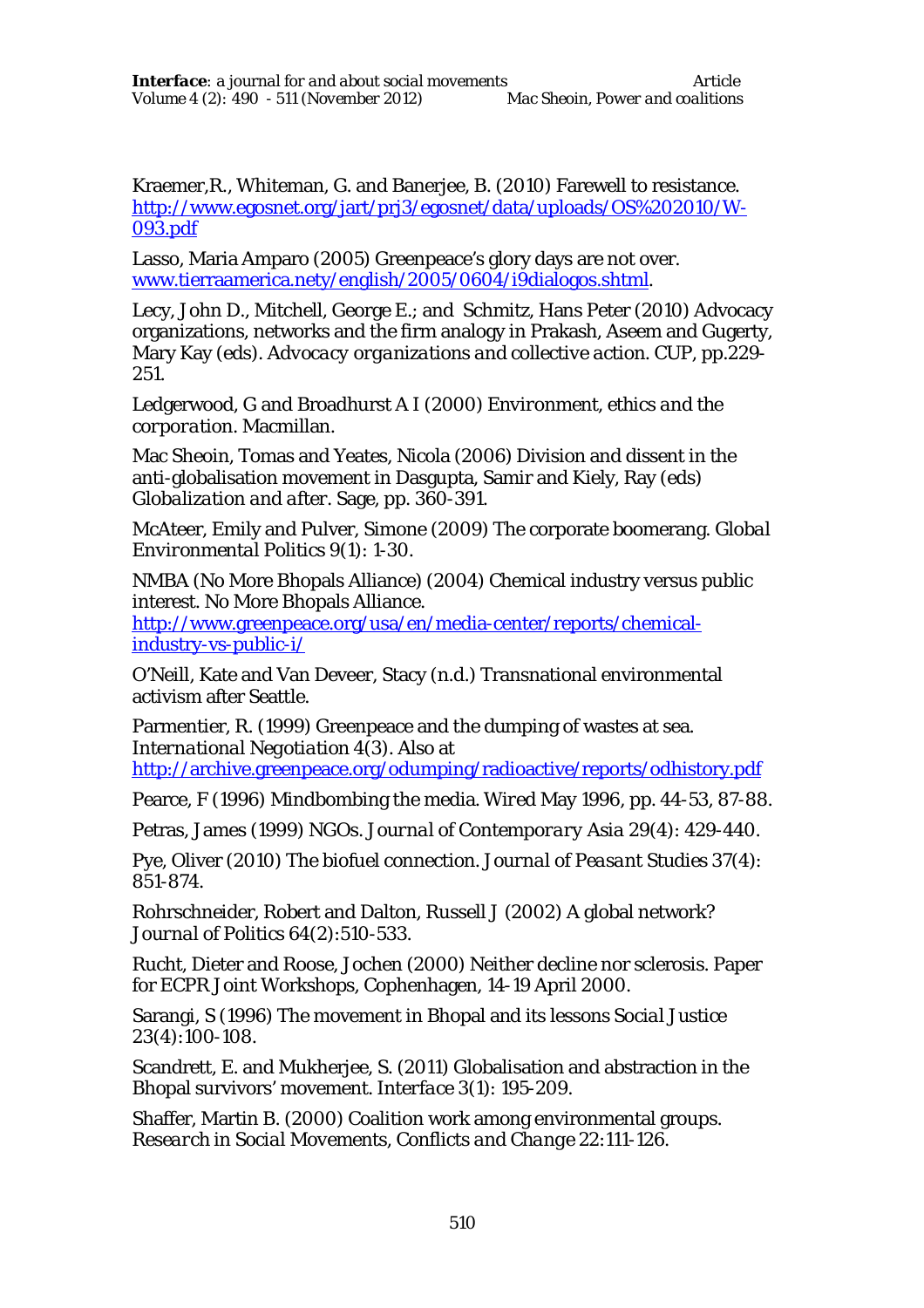Kraemer,R., Whiteman, G. and Banerjee, B. (2010) Farewell to resistance. http://www.egosnet.org/jart/prj3/egosnet/data/uploads/OS%202010/W-093.pdf

Lasso, Maria Amparo (2005) Greenpeace's glory days are not over. www.tierraamerica.nety/english/2005/0604/i9dialogos.shtml.

Lecy, John D., Mitchell, George E.; and Schmitz, Hans Peter (2010) Advocacy organizations, networks and the firm analogy in Prakash, Aseem and Gugerty, Mary Kay (eds). *Advocacy organizations and collective action*. CUP, pp.229- 251.

Ledgerwood, G and Broadhurst A I (2000) *Environment, ethics and the corporation*. Macmillan.

Mac Sheoin, Tomas and Yeates, Nicola (2006) Division and dissent in the anti-globalisation movement in Dasgupta, Samir and Kiely, Ray (eds) *Globalization and after*. Sage, pp. 360-391.

McAteer, Emily and Pulver, Simone (2009) The corporate boomerang. *Global Environmental Politics* 9(1): 1-30.

NMBA (No More Bhopals Alliance) (2004) Chemical industry versus public interest. No More Bhopals Alliance.

http://www.greenpeace.org/usa/en/media-center/reports/chemicalindustry-vs-public-i/

O'Neill, Kate and Van Deveer, Stacy (n.d.) Transnational environmental activism after Seattle.

Parmentier, R. (1999) Greenpeace and the dumping of wastes at sea. *International Negotiation* 4(3). Also at http://archive.greenpeace.org/odumping/radioactive/reports/odhistory.pdf

Pearce, F (1996) Mindbombing the media. *Wired* May 1996, pp. 44-53, 87-88.

Petras, James (1999) NGOs. *Journal of Contemporary Asia* 29(4): 429-440.

Pye, Oliver (2010) The biofuel connection. *Journal of Peasant Studies* 37(4): 851-874.

Rohrschneider, Robert and Dalton, Russell J (2002) A global network? *Journal of Politics* 64(2):510-533.

Rucht, Dieter and Roose, Jochen (2000) Neither decline nor sclerosis. Paper for ECPR Joint Workshops, Cophenhagen, 14-19 April 2000.

Sarangi, S (1996) The movement in Bhopal and its lessons *Social Justice* 23(4):100-108.

Scandrett, E. and Mukherjee, S. (2011) Globalisation and abstraction in the Bhopal survivors' movement. *Interface* 3(1): 195-209.

Shaffer, Martin B. (2000) Coalition work among environmental groups. *Research in Social Movements, Conflicts and Change* 22:111-126.